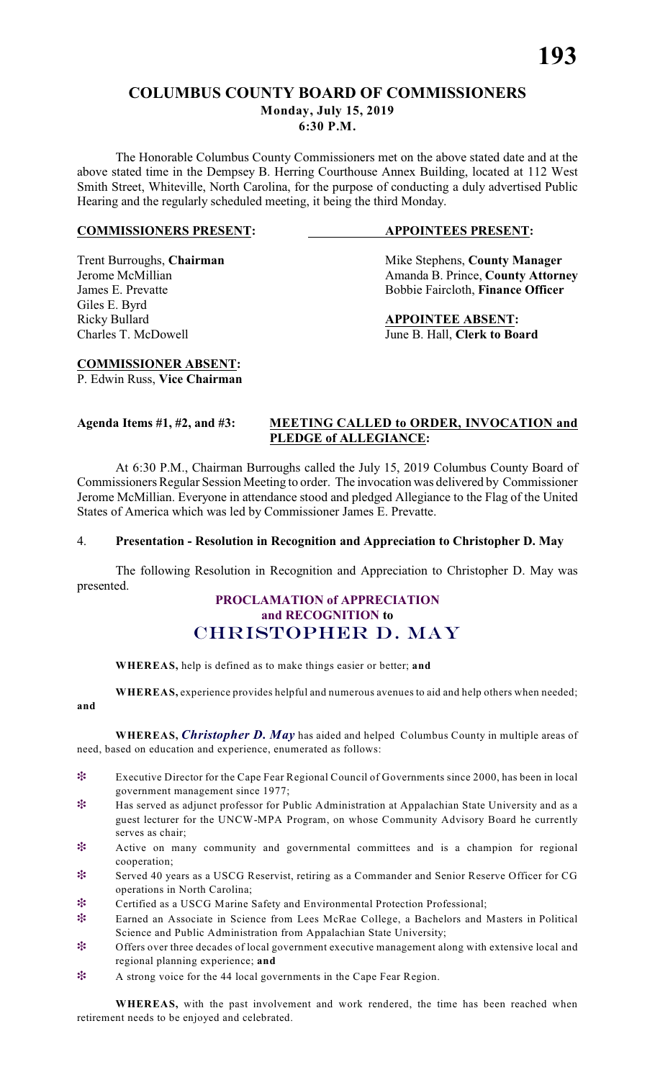### **COLUMBUS COUNTY BOARD OF COMMISSIONERS Monday, July 15, 2019**

**6:30 P.M.**

The Honorable Columbus County Commissioners met on the above stated date and at the above stated time in the Dempsey B. Herring Courthouse Annex Building, located at 112 West Smith Street, Whiteville, North Carolina, for the purpose of conducting a duly advertised Public Hearing and the regularly scheduled meeting, it being the third Monday.

#### **COMMISSIONERS PRESENT: APPOINTEES PRESENT:**

# Giles E. Byrd Ricky Bullard **APPOINTEE ABSENT:**

Trent Burroughs, **Chairman** Mike Stephens, **County Manager** *Jerome McMillian Amanda B. Prince*. **County Attorn** Amanda B. Prince, **County Attorney** James E. Prevatte Bobbie Faircloth, **Finance Officer** 

Charles T. McDowell June B. Hall, **Clerk to Board**

#### **COMMISSIONER ABSENT:** P. Edwin Russ, **Vice Chairman**

#### **Agenda Items #1, #2, and #3: MEETING CALLED to ORDER, INVOCATION and PLEDGE of ALLEGIANCE:**

At 6:30 P.M., Chairman Burroughs called the July 15, 2019 Columbus County Board of Commissioners Regular Session Meeting to order. The invocation was delivered by Commissioner Jerome McMillian. Everyone in attendance stood and pledged Allegiance to the Flag of the United States of America which was led by Commissioner James E. Prevatte.

#### 4. **Presentation - Resolution in Recognition and Appreciation to Christopher D. May**

The following Resolution in Recognition and Appreciation to Christopher D. May was presented.

### **PROCLAMATION of APPRECIATION and RECOGNITION to** *CHRISTOPHER D. MAY*

**WHEREAS,** help is defined as to make things easier or better; **and**

**WHEREAS,** experience provides helpful and numerous avenues to aid and help others when needed;

**and**

**WHEREAS,** *Christopher D. May* has aided and helped Columbus County in multiple areas of need, based on education and experience, enumerated as follows:

- Executive Director for the Cape Fear Regional Council of Governments since 2000, has been in local government management since 1977;
- **\*** Has served as adjunct professor for Public Administration at Appalachian State University and as a guest lecturer for the UNCW-MPA Program, on whose Community Advisory Board he currently serves as chair;
- Active on many community and governmental committees and is a champion for regional cooperation;
- Served 40 years as a USCG Reservist, retiring as a Commander and Senior Reserve Officer for CG operations in North Carolina;
- Certified as a USCG Marine Safety and Environmental Protection Professional;
- Earned an Associate in Science from Lees McRae College, a Bachelors and Masters in Political Science and Public Administration from Appalachian State University;
- **<u>\*</u>** Offers over three decades of local government executive management along with extensive local and regional planning experience; **and**
- \* A strong voice for the 44 local governments in the Cape Fear Region.

**WHEREAS,** with the past involvement and work rendered, the time has been reached when retirement needs to be enjoyed and celebrated.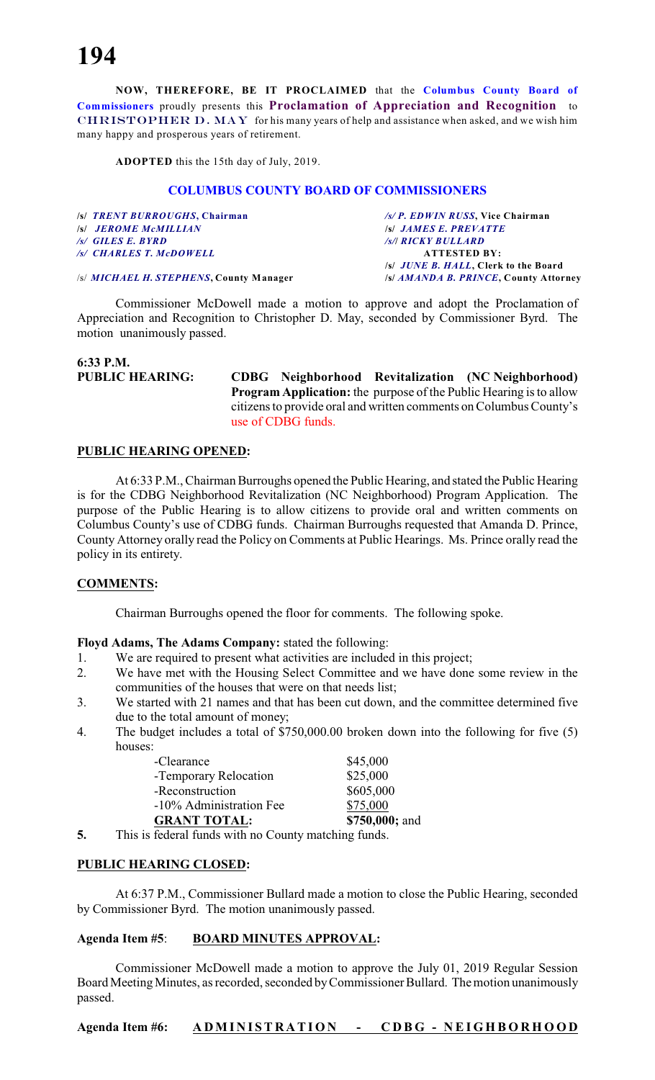**NOW, THEREFORE, BE IT PROCLAIMED** that the **Columbus County Board of Commissioners** proudly presents this **Proclamation of Appreciation and Recognition** to *CHRISTOPHER D. MAY* for his many years of help and assistance when asked, and we wish him many happy and prosperous years of retirement.

**ADOPTED** this the 15th day of July, 2019.

#### **COLUMBUS COUNTY BOARD OF COMMISSIONERS**

| /s/ TRENT BURROUGHS, Chairman           | /s/ P. EDWIN RUSS, Vice Chairman             |
|-----------------------------------------|----------------------------------------------|
| <b>S JEROME MCMILLIAN</b>               | <b>S JAMES E. PREVATTE</b>                   |
| $\sqrt{s}$ GILES E. BYRD                | /s/  RICKY BULLARD                           |
| /s/ CHARLES T. McDOWELL                 | <b>ATTESTED BY:</b>                          |
|                                         | /s/ <i>JUNE B. HALL</i> , Clerk to the Board |
| /s/ MICHAEL H. STEPHENS, County Manager | /s/ AMANDA B. PRINCE, County Attorney        |

Commissioner McDowell made a motion to approve and adopt the Proclamation of Appreciation and Recognition to Christopher D. May, seconded by Commissioner Byrd. The motion unanimously passed.

### **6:33 P.M.**

**PUBLIC HEARING: CDBG Neighborhood Revitalization (NC Neighborhood) Program Application:** the purpose of the Public Hearing is to allow citizens to provide oral and written comments on Columbus County's use of CDBG funds.

#### **PUBLIC HEARING OPENED:**

At 6:33 P.M., Chairman Burroughs opened the Public Hearing, and stated the Public Hearing is for the CDBG Neighborhood Revitalization (NC Neighborhood) Program Application. The purpose of the Public Hearing is to allow citizens to provide oral and written comments on Columbus County's use of CDBG funds. Chairman Burroughs requested that Amanda D. Prince, County Attorney orally read the Policy on Comments at Public Hearings. Ms. Prince orally read the policy in its entirety.

#### **COMMENTS:**

Chairman Burroughs opened the floor for comments. The following spoke.

**Floyd Adams, The Adams Company:** stated the following:

- 1. We are required to present what activities are included in this project;
- 2. We have met with the Housing Select Committee and we have done some review in the communities of the houses that were on that needs list;
- 3. We started with 21 names and that has been cut down, and the committee determined five due to the total amount of money;
- 4. The budget includes a total of \$750,000.00 broken down into the following for five (5) houses:

| <b>GRANT TOTAL:</b>     | \$750,000; and |
|-------------------------|----------------|
| -10% Administration Fee | \$75,000       |
| -Reconstruction         | \$605,000      |
| -Temporary Relocation   | \$25,000       |
| -Clearance              | \$45,000       |

**5.** This is federal funds with no County matching funds.

#### **PUBLIC HEARING CLOSED:**

At 6:37 P.M., Commissioner Bullard made a motion to close the Public Hearing, seconded by Commissioner Byrd. The motion unanimously passed.

#### **Agenda Item #5**: **BOARD MINUTES APPROVAL:**

Commissioner McDowell made a motion to approve the July 01, 2019 Regular Session Board Meeting Minutes, as recorded, seconded by Commissioner Bullard. The motion unanimously passed.

**Agenda Item #6: A DMI N I ST R A TI O N - C D B G - N EI G HBOR HOO D**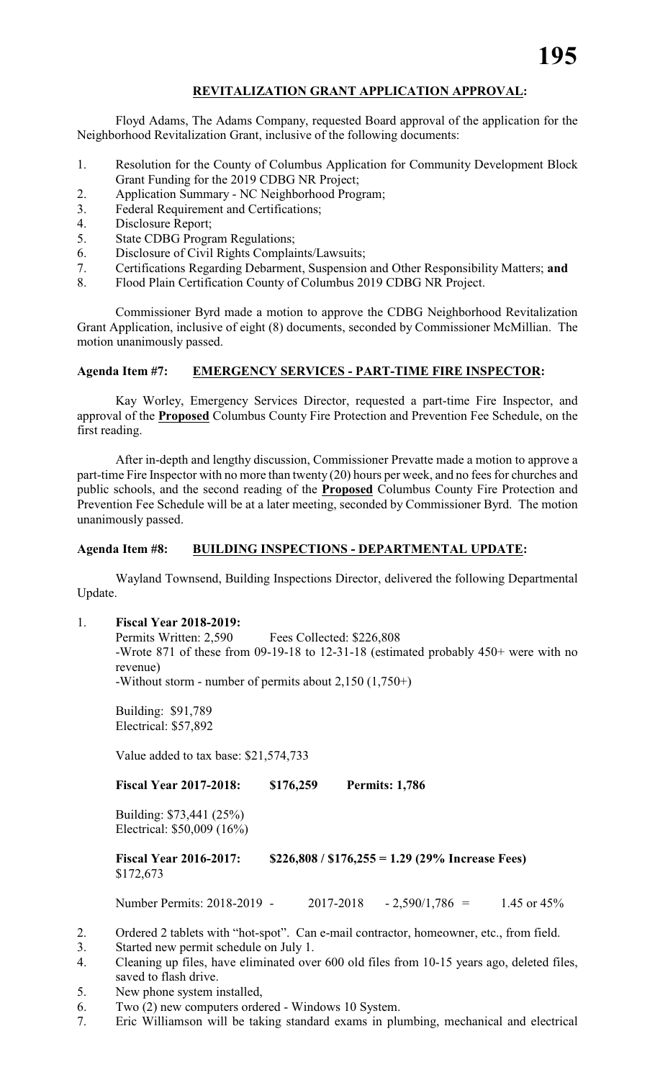#### **REVITALIZATION GRANT APPLICATION APPROVAL:**

Floyd Adams, The Adams Company, requested Board approval of the application for the Neighborhood Revitalization Grant, inclusive of the following documents:

- 1. Resolution for the County of Columbus Application for Community Development Block Grant Funding for the 2019 CDBG NR Project;
- 2. Application Summary NC Neighborhood Program;
- 3. Federal Requirement and Certifications;
- 4. Disclosure Report;
- 5. State CDBG Program Regulations;
- 6. Disclosure of Civil Rights Complaints/Lawsuits;
- 7. Certifications Regarding Debarment, Suspension and Other Responsibility Matters; **and**
- 8. Flood Plain Certification County of Columbus 2019 CDBG NR Project.

Commissioner Byrd made a motion to approve the CDBG Neighborhood Revitalization Grant Application, inclusive of eight (8) documents, seconded by Commissioner McMillian. The motion unanimously passed.

#### **Agenda Item #7: EMERGENCY SERVICES - PART-TIME FIRE INSPECTOR:**

Kay Worley, Emergency Services Director, requested a part-time Fire Inspector, and approval of the **Proposed** Columbus County Fire Protection and Prevention Fee Schedule, on the first reading.

After in-depth and lengthy discussion, Commissioner Prevatte made a motion to approve a part-time Fire Inspector with no more than twenty (20) hours per week, and no fees for churches and public schools, and the second reading of the **Proposed** Columbus County Fire Protection and Prevention Fee Schedule will be at a later meeting, seconded by Commissioner Byrd. The motion unanimously passed.

#### **Agenda Item #8: BUILDING INSPECTIONS - DEPARTMENTAL UPDATE:**

Wayland Townsend, Building Inspections Director, delivered the following Departmental Update.

#### 1. **Fiscal Year 2018-2019:**

Permits Written: 2,590 Fees Collected: \$226,808 -Wrote 871 of these from 09-19-18 to 12-31-18 (estimated probably 450+ were with no revenue)

-Without storm - number of permits about 2,150 (1,750+)

Building: \$91,789 Electrical: \$57,892

Value added to tax base: \$21,574,733

**Fiscal Year 2017-2018: \$176,259 Permits: 1,786**

Building: \$73,441 (25%) Electrical: \$50,009 (16%)

**Fiscal Year 2016-2017: \$226,808 / \$176,255 = 1.29 (29% Increase Fees)** \$172,673

Number Permits: 2018-2019 - 2017-2018 - 2,590/1,786 = 1.45 or 45%

- 2. Ordered 2 tablets with "hot-spot". Can e-mail contractor, homeowner, etc., from field.
- 3. Started new permit schedule on July 1.
- 4. Cleaning up files, have eliminated over 600 old files from 10-15 years ago, deleted files, saved to flash drive.
- 5. New phone system installed,
- 6. Two (2) new computers ordered Windows 10 System.
- 7. Eric Williamson will be taking standard exams in plumbing, mechanical and electrical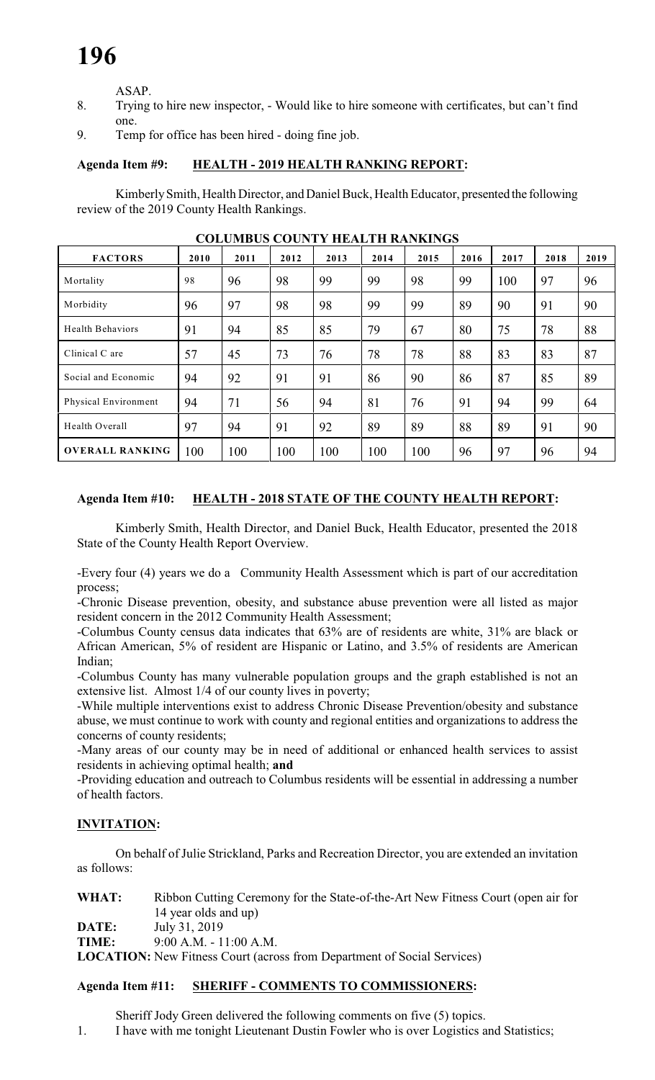ASAP.

- 8. Trying to hire new inspector, Would like to hire someone with certificates, but can't find one.
- 9. Temp for office has been hired doing fine job.

#### **Agenda Item #9: HEALTH - 2019 HEALTH RANKING REPORT:**

Kimberly Smith, Health Director, and Daniel Buck, Health Educator, presented the following review of the 2019 County Health Rankings.

| <b>FACTORS</b>          | 2010 | 2011 | 2012 | 2013 | 2014 | 2015 | 2016 | 2017 | 2018 | 2019 |
|-------------------------|------|------|------|------|------|------|------|------|------|------|
| Mortality               | 98   | 96   | 98   | 99   | 99   | 98   | 99   | 100  | 97   | 96   |
| Morbidity               | 96   | 97   | 98   | 98   | 99   | 99   | 89   | 90   | 91   | 90   |
| <b>Health Behaviors</b> | 91   | 94   | 85   | 85   | 79   | 67   | 80   | 75   | 78   | 88   |
| Clinical C are          | 57   | 45   | 73   | 76   | 78   | 78   | 88   | 83   | 83   | 87   |
| Social and Economic     | 94   | 92   | 91   | 91   | 86   | 90   | 86   | 87   | 85   | 89   |
| Physical Environment    | 94   | 71   | 56   | 94   | 81   | 76   | 91   | 94   | 99   | 64   |
| Health Overall          | 97   | 94   | 91   | 92   | 89   | 89   | 88   | 89   | 91   | 90   |
| <b>OVERALL RANKING</b>  | 100  | 100  | 100  | 100  | 100  | 100  | 96   | 97   | 96   | 94   |

**COLUMBUS COUNTY HEALTH RANKINGS**

### **Agenda Item #10: HEALTH - 2018 STATE OF THE COUNTY HEALTH REPORT:**

Kimberly Smith, Health Director, and Daniel Buck, Health Educator, presented the 2018 State of the County Health Report Overview.

-Every four (4) years we do a Community Health Assessment which is part of our accreditation process;

-Chronic Disease prevention, obesity, and substance abuse prevention were all listed as major resident concern in the 2012 Community Health Assessment;

-Columbus County census data indicates that 63% are of residents are white, 31% are black or African American, 5% of resident are Hispanic or Latino, and 3.5% of residents are American Indian;

-Columbus County has many vulnerable population groups and the graph established is not an extensive list. Almost 1/4 of our county lives in poverty;

-While multiple interventions exist to address Chronic Disease Prevention/obesity and substance abuse, we must continue to work with county and regional entities and organizations to address the concerns of county residents;

-Many areas of our county may be in need of additional or enhanced health services to assist residents in achieving optimal health; **and**

-Providing education and outreach to Columbus residents will be essential in addressing a number of health factors.

#### **INVITATION:**

On behalf of Julie Strickland, Parks and Recreation Director, you are extended an invitation as follows:

**WHAT:** Ribbon Cutting Ceremony for the State-of-the-Art New Fitness Court (open air for 14 year olds and up) **DATE:** July 31, 2019

**TIME:** 9:00 A.M. - 11:00 A.M.

**LOCATION:** New Fitness Court (across from Department of Social Services)

#### **Agenda Item #11: SHERIFF - COMMENTS TO COMMISSIONERS:**

Sheriff Jody Green delivered the following comments on five (5) topics. 1. I have with me tonight Lieutenant Dustin Fowler who is over Logistics and Statistics;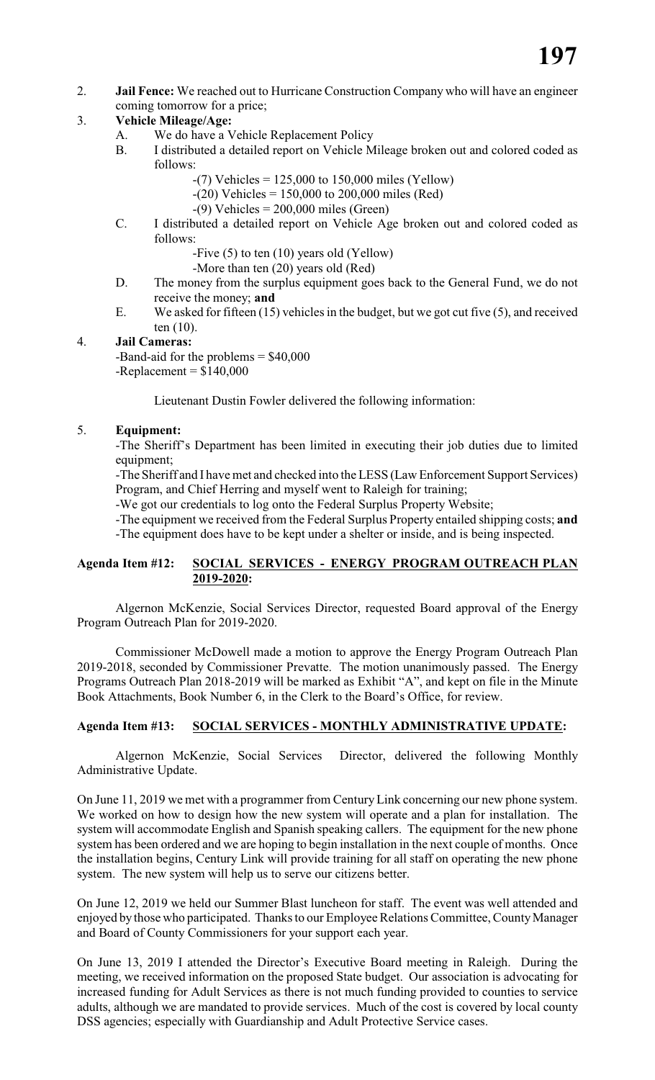2. **Jail Fence:** We reached out to Hurricane Construction Company who will have an engineer coming tomorrow for a price;

#### 3. **Vehicle Mileage/Age:**

- A. We do have a Vehicle Replacement Policy
- B. I distributed a detailed report on Vehicle Mileage broken out and colored coded as follows:
	- $-(7)$  Vehicles = 125,000 to 150,000 miles (Yellow)
	- $-(20)$  Vehicles = 150,000 to 200,000 miles (Red)
	- $-(9)$  Vehicles = 200,000 miles (Green)
- C. I distributed a detailed report on Vehicle Age broken out and colored coded as follows:
	- -Five (5) to ten (10) years old (Yellow)
	- -More than ten (20) years old (Red)
- D. The money from the surplus equipment goes back to the General Fund, we do not receive the money; **and**
- E. We asked for fifteen (15) vehicles in the budget, but we got cut five (5), and received ten (10).

#### 4. **Jail Cameras:**

-Band-aid for the problems = \$40,000  $-$ Replacement =  $$140,000$ 

Lieutenant Dustin Fowler delivered the following information:

#### 5. **Equipment:**

-The Sheriff's Department has been limited in executing their job duties due to limited equipment;

-The Sheriff and I have met and checked into the LESS (Law Enforcement Support Services) Program, and Chief Herring and myself went to Raleigh for training;

-We got our credentials to log onto the Federal Surplus Property Website;

-The equipment we received from the Federal Surplus Property entailed shipping costs; **and**

-The equipment does have to be kept under a shelter or inside, and is being inspected.

#### **Agenda Item #12: SOCIAL SERVICES - ENERGY PROGRAM OUTREACH PLAN 2019-2020:**

Algernon McKenzie, Social Services Director, requested Board approval of the Energy Program Outreach Plan for 2019-2020.

Commissioner McDowell made a motion to approve the Energy Program Outreach Plan 2019-2018, seconded by Commissioner Prevatte. The motion unanimously passed. The Energy Programs Outreach Plan 2018-2019 will be marked as Exhibit "A", and kept on file in the Minute Book Attachments, Book Number 6, in the Clerk to the Board's Office, for review.

#### **Agenda Item #13: SOCIAL SERVICES - MONTHLY ADMINISTRATIVE UPDATE:**

Algernon McKenzie, Social Services Director, delivered the following Monthly Administrative Update.

On June 11, 2019 we met with a programmer from Century Link concerning our new phone system. We worked on how to design how the new system will operate and a plan for installation. The system will accommodate English and Spanish speaking callers. The equipment for the new phone system has been ordered and we are hoping to begin installation in the next couple of months. Once the installation begins, Century Link will provide training for all staff on operating the new phone system. The new system will help us to serve our citizens better.

On June 12, 2019 we held our Summer Blast luncheon for staff. The event was well attended and enjoyed by those who participated. Thanks to our Employee Relations Committee, County Manager and Board of County Commissioners for your support each year.

On June 13, 2019 I attended the Director's Executive Board meeting in Raleigh. During the meeting, we received information on the proposed State budget. Our association is advocating for increased funding for Adult Services as there is not much funding provided to counties to service adults, although we are mandated to provide services. Much of the cost is covered by local county DSS agencies; especially with Guardianship and Adult Protective Service cases.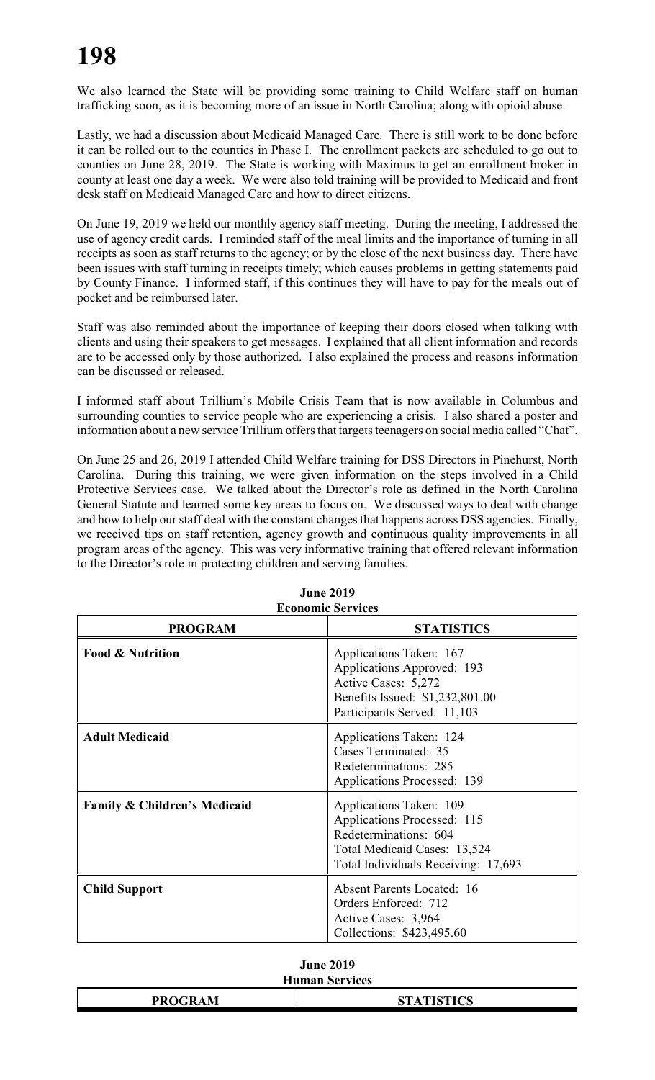We also learned the State will be providing some training to Child Welfare staff on human trafficking soon, as it is becoming more of an issue in North Carolina; along with opioid abuse.

Lastly, we had a discussion about Medicaid Managed Care. There is still work to be done before it can be rolled out to the counties in Phase I. The enrollment packets are scheduled to go out to counties on June 28, 2019. The State is working with Maximus to get an enrollment broker in county at least one day a week. We were also told training will be provided to Medicaid and front desk staff on Medicaid Managed Care and how to direct citizens.

On June 19, 2019 we held our monthly agency staff meeting. During the meeting, I addressed the use of agency credit cards. I reminded staff of the meal limits and the importance of turning in all receipts as soon as staff returns to the agency; or by the close of the next business day. There have been issues with staff turning in receipts timely; which causes problems in getting statements paid by County Finance. I informed staff, if this continues they will have to pay for the meals out of pocket and be reimbursed later.

Staff was also reminded about the importance of keeping their doors closed when talking with clients and using their speakers to get messages. I explained that all client information and records are to be accessed only by those authorized. I also explained the process and reasons information can be discussed or released.

I informed staff about Trillium's Mobile Crisis Team that is now available in Columbus and surrounding counties to service people who are experiencing a crisis. I also shared a poster and information about a new service Trillium offers that targets teenagers on social media called "Chat".

On June 25 and 26, 2019 I attended Child Welfare training for DSS Directors in Pinehurst, North Carolina. During this training, we were given information on the steps involved in a Child Protective Services case. We talked about the Director's role as defined in the North Carolina General Statute and learned some key areas to focus on. We discussed ways to deal with change and how to help our staff deal with the constant changes that happens across DSS agencies. Finally, we received tips on staff retention, agency growth and continuous quality improvements in all program areas of the agency. This was very informative training that offered relevant information to the Director's role in protecting children and serving families.

| <b>Economic Services</b>     |                                                                                                                                                        |  |  |  |
|------------------------------|--------------------------------------------------------------------------------------------------------------------------------------------------------|--|--|--|
| <b>PROGRAM</b>               | <b>STATISTICS</b>                                                                                                                                      |  |  |  |
| <b>Food &amp; Nutrition</b>  | Applications Taken: 167<br>Applications Approved: 193<br>Active Cases: 5,272<br>Benefits Issued: \$1,232,801.00<br>Participants Served: 11,103         |  |  |  |
| <b>Adult Medicaid</b>        | Applications Taken: 124<br>Cases Terminated: 35<br>Redeterminations: 285<br><b>Applications Processed: 139</b>                                         |  |  |  |
| Family & Children's Medicaid | Applications Taken: 109<br>Applications Processed: 115<br>Redeterminations: 604<br>Total Medicaid Cases: 13,524<br>Total Individuals Receiving: 17,693 |  |  |  |
| <b>Child Support</b>         | <b>Absent Parents Located: 16</b><br>Orders Enforced: 712<br>Active Cases: 3,964<br>Collections: \$423,495.60                                          |  |  |  |

### **June 2019**

| June 2019.            |  |
|-----------------------|--|
| <b>Human Services</b> |  |

| <b>PROGRAM</b> | <b>CT A TICTICS</b><br>AIDIICO |
|----------------|--------------------------------|
|                |                                |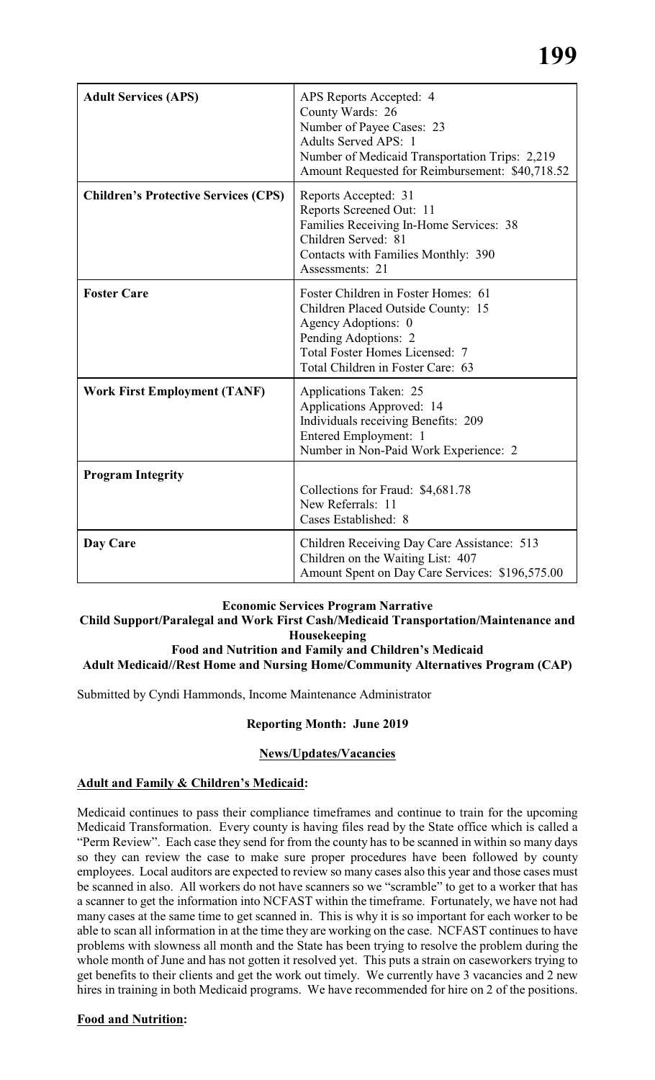| <b>Adult Services (APS)</b>                 | APS Reports Accepted: 4<br>County Wards: 26<br>Number of Payee Cases: 23<br><b>Adults Served APS: 1</b><br>Number of Medicaid Transportation Trips: 2,219<br>Amount Requested for Reimbursement: \$40,718.52 |
|---------------------------------------------|--------------------------------------------------------------------------------------------------------------------------------------------------------------------------------------------------------------|
| <b>Children's Protective Services (CPS)</b> | Reports Accepted: 31<br>Reports Screened Out: 11<br>Families Receiving In-Home Services: 38<br>Children Served: 81<br>Contacts with Families Monthly: 390<br>Assessments: 21                                 |
| <b>Foster Care</b>                          | Foster Children in Foster Homes: 61<br>Children Placed Outside County: 15<br>Agency Adoptions: 0<br>Pending Adoptions: 2<br><b>Total Foster Homes Licensed: 7</b><br>Total Children in Foster Care: 63       |
| <b>Work First Employment (TANF)</b>         | Applications Taken: 25<br>Applications Approved: 14<br>Individuals receiving Benefits: 209<br>Entered Employment: 1<br>Number in Non-Paid Work Experience: 2                                                 |
| <b>Program Integrity</b>                    | Collections for Fraud: \$4,681.78<br>New Referrals: 11<br>Cases Established: 8                                                                                                                               |
| Day Care                                    | Children Receiving Day Care Assistance: 513<br>Children on the Waiting List: 407<br>Amount Spent on Day Care Services: \$196,575.00                                                                          |

#### **Economic Services Program Narrative**

#### **Child Support/Paralegal and Work First Cash/Medicaid Transportation/Maintenance and Housekeeping**

#### **Food and Nutrition and Family and Children's Medicaid**

#### **Adult Medicaid//Rest Home and Nursing Home/Community Alternatives Program (CAP)**

Submitted by Cyndi Hammonds, Income Maintenance Administrator

#### **Reporting Month: June 2019**

#### **News/Updates/Vacancies**

#### **Adult and Family & Children's Medicaid:**

Medicaid continues to pass their compliance timeframes and continue to train for the upcoming Medicaid Transformation. Every county is having files read by the State office which is called a "Perm Review". Each case they send for from the county has to be scanned in within so many days so they can review the case to make sure proper procedures have been followed by county employees. Local auditors are expected to review so many cases also this year and those cases must be scanned in also. All workers do not have scanners so we "scramble" to get to a worker that has a scanner to get the information into NCFAST within the timeframe. Fortunately, we have not had many cases at the same time to get scanned in. This is why it is so important for each worker to be able to scan all information in at the time they are working on the case. NCFAST continues to have problems with slowness all month and the State has been trying to resolve the problem during the whole month of June and has not gotten it resolved yet. This puts a strain on caseworkers trying to get benefits to their clients and get the work out timely. We currently have 3 vacancies and 2 new hires in training in both Medicaid programs. We have recommended for hire on 2 of the positions.

#### **Food and Nutrition:**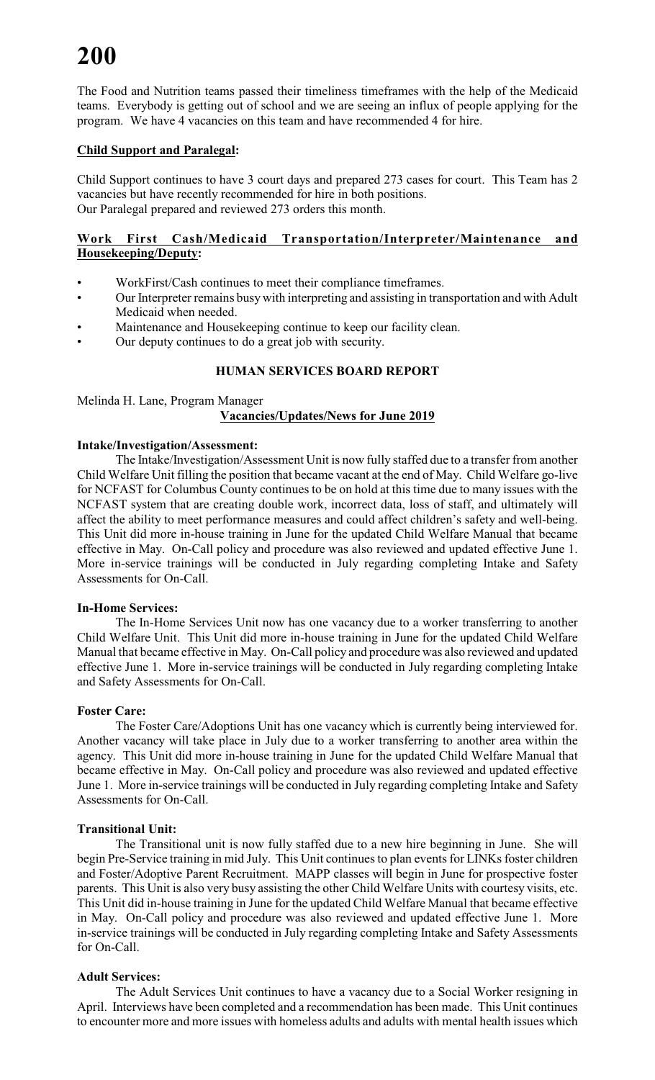The Food and Nutrition teams passed their timeliness timeframes with the help of the Medicaid teams. Everybody is getting out of school and we are seeing an influx of people applying for the program. We have 4 vacancies on this team and have recommended 4 for hire.

#### **Child Support and Paralegal:**

Child Support continues to have 3 court days and prepared 273 cases for court. This Team has 2 vacancies but have recently recommended for hire in both positions. Our Paralegal prepared and reviewed 273 orders this month.

#### **Work First Cash/Medicaid Transportation/Interpreter/Maintenance and Housekeeping/Deputy:**

- WorkFirst/Cash continues to meet their compliance timeframes.
- Our Interpreter remains busywith interpreting and assisting in transportation and with Adult Medicaid when needed.
- Maintenance and Housekeeping continue to keep our facility clean.
- Our deputy continues to do a great job with security.

#### **HUMAN SERVICES BOARD REPORT**

Melinda H. Lane, Program Manager **Vacancies/Updates/News for June 2019**

#### **Intake/Investigation/Assessment:**

The Intake/Investigation/Assessment Unit is now fully staffed due to a transfer from another Child Welfare Unit filling the position that became vacant at the end of May. Child Welfare go-live for NCFAST for Columbus County continues to be on hold at this time due to many issues with the NCFAST system that are creating double work, incorrect data, loss of staff, and ultimately will affect the ability to meet performance measures and could affect children's safety and well-being. This Unit did more in-house training in June for the updated Child Welfare Manual that became effective in May. On-Call policy and procedure was also reviewed and updated effective June 1. More in-service trainings will be conducted in July regarding completing Intake and Safety Assessments for On-Call.

#### **In-Home Services:**

The In-Home Services Unit now has one vacancy due to a worker transferring to another Child Welfare Unit. This Unit did more in-house training in June for the updated Child Welfare Manual that became effective in May. On-Call policy and procedure was also reviewed and updated effective June 1. More in-service trainings will be conducted in July regarding completing Intake and Safety Assessments for On-Call.

#### **Foster Care:**

The Foster Care/Adoptions Unit has one vacancy which is currently being interviewed for. Another vacancy will take place in July due to a worker transferring to another area within the agency. This Unit did more in-house training in June for the updated Child Welfare Manual that became effective in May. On-Call policy and procedure was also reviewed and updated effective June 1. More in-service trainings will be conducted in July regarding completing Intake and Safety Assessments for On-Call.

#### **Transitional Unit:**

The Transitional unit is now fully staffed due to a new hire beginning in June. She will begin Pre-Service training in mid July. This Unit continues to plan events for LINKs foster children and Foster/Adoptive Parent Recruitment. MAPP classes will begin in June for prospective foster parents. This Unit is also very busy assisting the other Child Welfare Units with courtesy visits, etc. This Unit did in-house training in June for the updated Child Welfare Manual that became effective in May. On-Call policy and procedure was also reviewed and updated effective June 1. More in-service trainings will be conducted in July regarding completing Intake and Safety Assessments for On-Call.

#### **Adult Services:**

The Adult Services Unit continues to have a vacancy due to a Social Worker resigning in April. Interviews have been completed and a recommendation has been made. This Unit continues to encounter more and more issues with homeless adults and adults with mental health issues which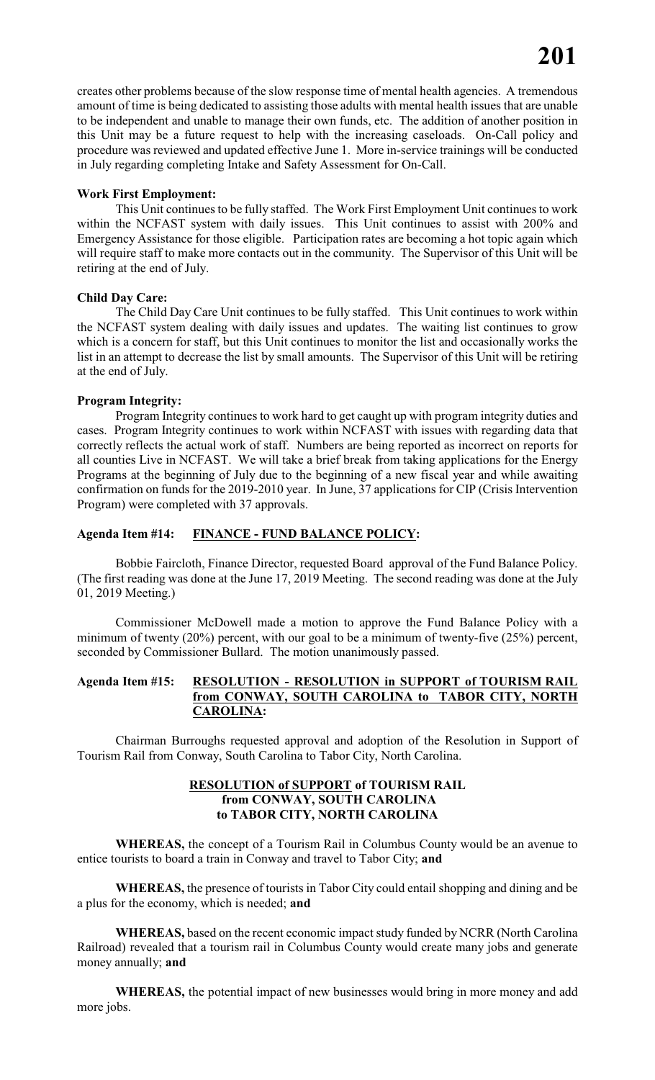creates other problems because of the slow response time of mental health agencies. A tremendous amount of time is being dedicated to assisting those adults with mental health issues that are unable to be independent and unable to manage their own funds, etc. The addition of another position in this Unit may be a future request to help with the increasing caseloads. On-Call policy and procedure was reviewed and updated effective June 1. More in-service trainings will be conducted in July regarding completing Intake and Safety Assessment for On-Call.

#### **Work First Employment:**

This Unit continues to be fully staffed. The Work First Employment Unit continues to work within the NCFAST system with daily issues. This Unit continues to assist with 200% and Emergency Assistance for those eligible. Participation rates are becoming a hot topic again which will require staff to make more contacts out in the community. The Supervisor of this Unit will be retiring at the end of July.

#### **Child Day Care:**

The Child Day Care Unit continues to be fully staffed. This Unit continues to work within the NCFAST system dealing with daily issues and updates. The waiting list continues to grow which is a concern for staff, but this Unit continues to monitor the list and occasionally works the list in an attempt to decrease the list by small amounts. The Supervisor of this Unit will be retiring at the end of July.

#### **Program Integrity:**

Program Integrity continues to work hard to get caught up with program integrity duties and cases. Program Integrity continues to work within NCFAST with issues with regarding data that correctly reflects the actual work of staff. Numbers are being reported as incorrect on reports for all counties Live in NCFAST. We will take a brief break from taking applications for the Energy Programs at the beginning of July due to the beginning of a new fiscal year and while awaiting confirmation on funds for the 2019-2010 year. In June, 37 applications for CIP (Crisis Intervention Program) were completed with 37 approvals.

#### **Agenda Item #14: FINANCE - FUND BALANCE POLICY:**

Bobbie Faircloth, Finance Director, requested Board approval of the Fund Balance Policy. (The first reading was done at the June 17, 2019 Meeting. The second reading was done at the July 01, 2019 Meeting.)

Commissioner McDowell made a motion to approve the Fund Balance Policy with a minimum of twenty (20%) percent, with our goal to be a minimum of twenty-five (25%) percent, seconded by Commissioner Bullard. The motion unanimously passed.

#### **Agenda Item #15: RESOLUTION - RESOLUTION in SUPPORT of TOURISM RAIL from CONWAY, SOUTH CAROLINA to TABOR CITY, NORTH CAROLINA:**

Chairman Burroughs requested approval and adoption of the Resolution in Support of Tourism Rail from Conway, South Carolina to Tabor City, North Carolina.

#### **RESOLUTION of SUPPORT of TOURISM RAIL from CONWAY, SOUTH CAROLINA to TABOR CITY, NORTH CAROLINA**

**WHEREAS,** the concept of a Tourism Rail in Columbus County would be an avenue to entice tourists to board a train in Conway and travel to Tabor City; **and**

**WHEREAS,** the presence of tourists in Tabor City could entail shopping and dining and be a plus for the economy, which is needed; **and**

**WHEREAS,** based on the recent economic impact study funded by NCRR (North Carolina Railroad) revealed that a tourism rail in Columbus County would create many jobs and generate money annually; **and**

**WHEREAS,** the potential impact of new businesses would bring in more money and add more jobs.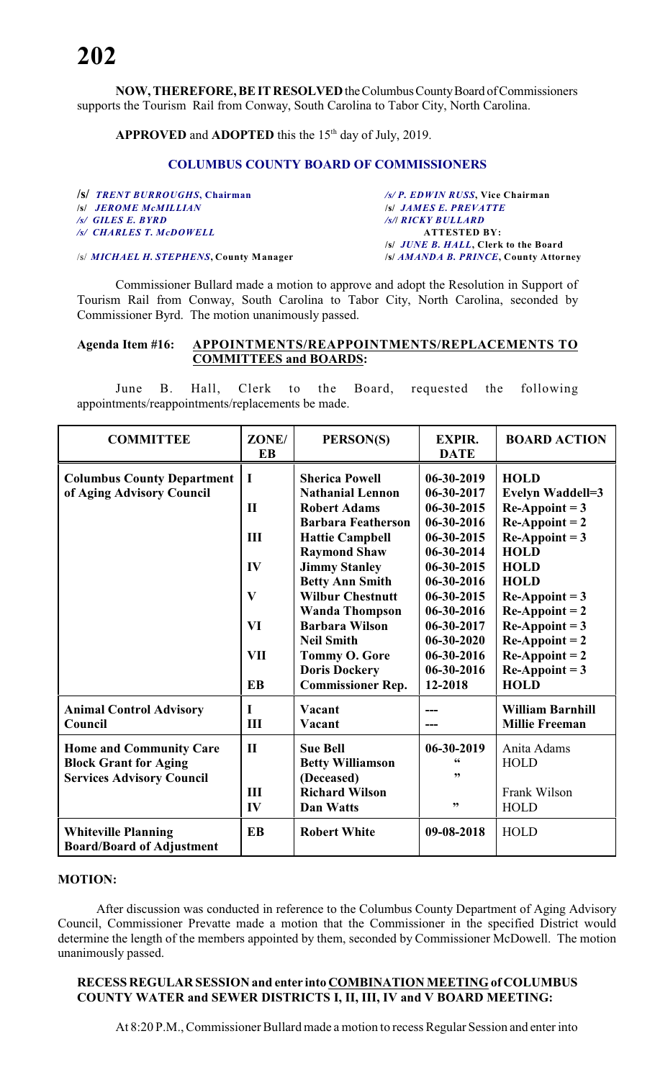**NOW, THEREFORE, BE IT RESOLVED** the Columbus County Board of Commissioners supports the Tourism Rail from Conway, South Carolina to Tabor City, North Carolina.

**APPROVED** and **ADOPTED** this the  $15<sup>th</sup>$  day of July, 2019.

#### **COLUMBUS COUNTY BOARD OF COMMISSIONERS**

| /s/ TRENT BURROUGHS, Chairman           | /s/ P. EDWIN RUSS, Vice Chairman      |
|-----------------------------------------|---------------------------------------|
| <b>S JEROME MCMILLIAN</b>               | <b>S JAMES E. PREVATTE</b>            |
| $\sqrt{s}$ GILES E. BYRD                | /s/  RICKY BULLARD                    |
| /s/ CHARLES T. McDOWELL                 | <b>ATTESTED BY:</b>                   |
|                                         | /s/ JUNE B. HALL, Clerk to the Board  |
| /s/ MICHAEL H. STEPHENS, County Manager | /s/ AMANDA B. PRINCE, County Attorney |

Commissioner Bullard made a motion to approve and adopt the Resolution in Support of Tourism Rail from Conway, South Carolina to Tabor City, North Carolina, seconded by Commissioner Byrd. The motion unanimously passed.

#### **Agenda Item #16: APPOINTMENTS/REAPPOINTMENTS/REPLACEMENTS TO COMMITTEES and BOARDS:**

June B. Hall, Clerk to the Board, requested the following appointments/reappointments/replacements be made.

| <b>COMMITTEE</b>                                                                                   | ZONE/<br><b>EB</b>      | PERSON(S)                                                                                     | <b>EXPIR.</b><br><b>DATE</b>                            | <b>BOARD ACTION</b>                                                        |
|----------------------------------------------------------------------------------------------------|-------------------------|-----------------------------------------------------------------------------------------------|---------------------------------------------------------|----------------------------------------------------------------------------|
| <b>Columbus County Department</b><br>of Aging Advisory Council                                     | $\bf{I}$                | <b>Sherica Powell</b><br><b>Nathanial Lennon</b>                                              | $06 - 30 - 2019$<br>06-30-2017                          | <b>HOLD</b><br><b>Evelyn Waddell=3</b>                                     |
|                                                                                                    | $\mathbf{I}$            | <b>Robert Adams</b>                                                                           | 06-30-2015                                              | $Re$ -Appoint = 3                                                          |
|                                                                                                    | Ш                       | <b>Barbara Featherson</b><br><b>Hattie Campbell</b>                                           | 06-30-2016<br>06-30-2015                                | $Re$ -Appoint = 2<br>$Re$ -Appoint = 3                                     |
|                                                                                                    |                         | <b>Raymond Shaw</b>                                                                           | 06-30-2014                                              | <b>HOLD</b>                                                                |
|                                                                                                    | IV                      | <b>Jimmy Stanley</b><br><b>Betty Ann Smith</b>                                                | 06-30-2015<br>06-30-2016                                | <b>HOLD</b><br><b>HOLD</b>                                                 |
|                                                                                                    | $\mathbf{V}$            | <b>Wilbur Chestnutt</b><br><b>Wanda Thompson</b>                                              | 06-30-2015<br>06-30-2016                                | $Re$ -Appoint = 3<br>$Re$ -Appoint = 2                                     |
|                                                                                                    | VI                      | <b>Barbara Wilson</b>                                                                         | 06-30-2017                                              | $Re$ -Appoint = 3                                                          |
|                                                                                                    | <b>VII</b><br><b>EB</b> | <b>Neil Smith</b><br><b>Tommy O. Gore</b><br><b>Doris Dockery</b><br><b>Commissioner Rep.</b> | $06 - 30 - 2020$<br>06-30-2016<br>06-30-2016<br>12-2018 | $Re$ -Appoint = 2<br>$Re$ -Appoint = 2<br>$Re$ -Appoint = 3<br><b>HOLD</b> |
| <b>Animal Control Advisory</b><br>Council                                                          | L<br>III                | Vacant<br>Vacant                                                                              |                                                         | <b>William Barnhill</b><br><b>Millie Freeman</b>                           |
| <b>Home and Community Care</b><br><b>Block Grant for Aging</b><br><b>Services Advisory Council</b> | $\mathbf{I}$<br>III     | <b>Sue Bell</b><br><b>Betty Williamson</b><br>(Deceased)<br><b>Richard Wilson</b>             | 06-30-2019<br>,,                                        | Anita Adams<br><b>HOLD</b><br>Frank Wilson                                 |
|                                                                                                    | IV                      | <b>Dan Watts</b>                                                                              | , 2                                                     | <b>HOLD</b>                                                                |
| <b>Whiteville Planning</b><br><b>Board/Board of Adjustment</b>                                     | <b>EB</b>               | <b>Robert White</b>                                                                           | 09-08-2018                                              | HOLD                                                                       |

#### **MOTION:**

After discussion was conducted in reference to the Columbus County Department of Aging Advisory Council, Commissioner Prevatte made a motion that the Commissioner in the specified District would determine the length of the members appointed by them, seconded by Commissioner McDowell. The motion unanimously passed.

#### **RECESS REGULAR SESSION and enter into COMBINATION MEETING of COLUMBUS COUNTY WATER and SEWER DISTRICTS I, II, III, IV and V BOARD MEETING:**

At 8:20 P.M., Commissioner Bullard made a motion to recess Regular Session and enter into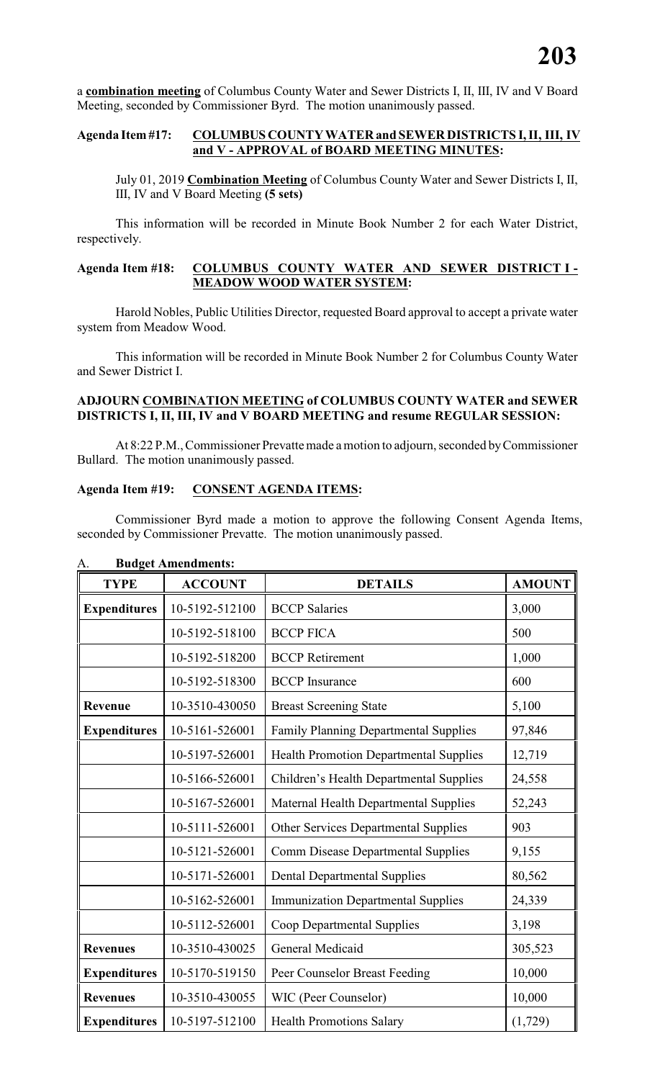a **combination meeting** of Columbus County Water and Sewer Districts I, II, III, IV and V Board Meeting, seconded by Commissioner Byrd. The motion unanimously passed.

#### **Agenda Item #17: COLUMBUS COUNTY WATER and SEWER DISTRICTS I, II, III, IV and V - APPROVAL of BOARD MEETING MINUTES:**

July 01, 2019 **Combination Meeting** of Columbus County Water and Sewer Districts I, II, III, IV and V Board Meeting **(5 sets)**

This information will be recorded in Minute Book Number 2 for each Water District, respectively.

#### **Agenda Item #18: COLUMBUS COUNTY WATER AND SEWER DISTRICT I - MEADOW WOOD WATER SYSTEM:**

Harold Nobles, Public Utilities Director, requested Board approval to accept a private water system from Meadow Wood.

This information will be recorded in Minute Book Number 2 for Columbus County Water and Sewer District I.

#### **ADJOURN COMBINATION MEETING of COLUMBUS COUNTY WATER and SEWER DISTRICTS I, II, III, IV and V BOARD MEETING and resume REGULAR SESSION:**

At 8:22 P.M., Commissioner Prevatte made a motion to adjourn, seconded by Commissioner Bullard. The motion unanimously passed.

#### **Agenda Item #19: CONSENT AGENDA ITEMS:**

Commissioner Byrd made a motion to approve the following Consent Agenda Items, seconded by Commissioner Prevatte. The motion unanimously passed.

| <b>TYPE</b>         | <b>ACCOUNT</b> | <b>DETAILS</b>                                | <b>AMOUNT</b> |
|---------------------|----------------|-----------------------------------------------|---------------|
| <b>Expenditures</b> | 10-5192-512100 | <b>BCCP</b> Salaries                          | 3,000         |
|                     | 10-5192-518100 | <b>BCCP FICA</b>                              | 500           |
|                     | 10-5192-518200 | <b>BCCP</b> Retirement                        | 1,000         |
|                     | 10-5192-518300 | <b>BCCP</b> Insurance                         | 600           |
| Revenue             | 10-3510-430050 | <b>Breast Screening State</b>                 | 5,100         |
| <b>Expenditures</b> | 10-5161-526001 | <b>Family Planning Departmental Supplies</b>  | 97,846        |
|                     | 10-5197-526001 | <b>Health Promotion Departmental Supplies</b> | 12,719        |
|                     | 10-5166-526001 | Children's Health Departmental Supplies       | 24,558        |
|                     | 10-5167-526001 | Maternal Health Departmental Supplies         | 52,243        |
|                     | 10-5111-526001 | Other Services Departmental Supplies          | 903           |
|                     | 10-5121-526001 | <b>Comm Disease Departmental Supplies</b>     | 9,155         |
|                     | 10-5171-526001 | <b>Dental Departmental Supplies</b>           | 80,562        |
|                     | 10-5162-526001 | <b>Immunization Departmental Supplies</b>     | 24,339        |
|                     | 10-5112-526001 | Coop Departmental Supplies                    | 3,198         |
| <b>Revenues</b>     | 10-3510-430025 | General Medicaid                              | 305,523       |
| <b>Expenditures</b> | 10-5170-519150 | Peer Counselor Breast Feeding                 | 10,000        |
| <b>Revenues</b>     | 10-3510-430055 | WIC (Peer Counselor)                          | 10,000        |
| <b>Expenditures</b> | 10-5197-512100 | <b>Health Promotions Salary</b>               | (1,729)       |

#### A. **Budget Amendments:**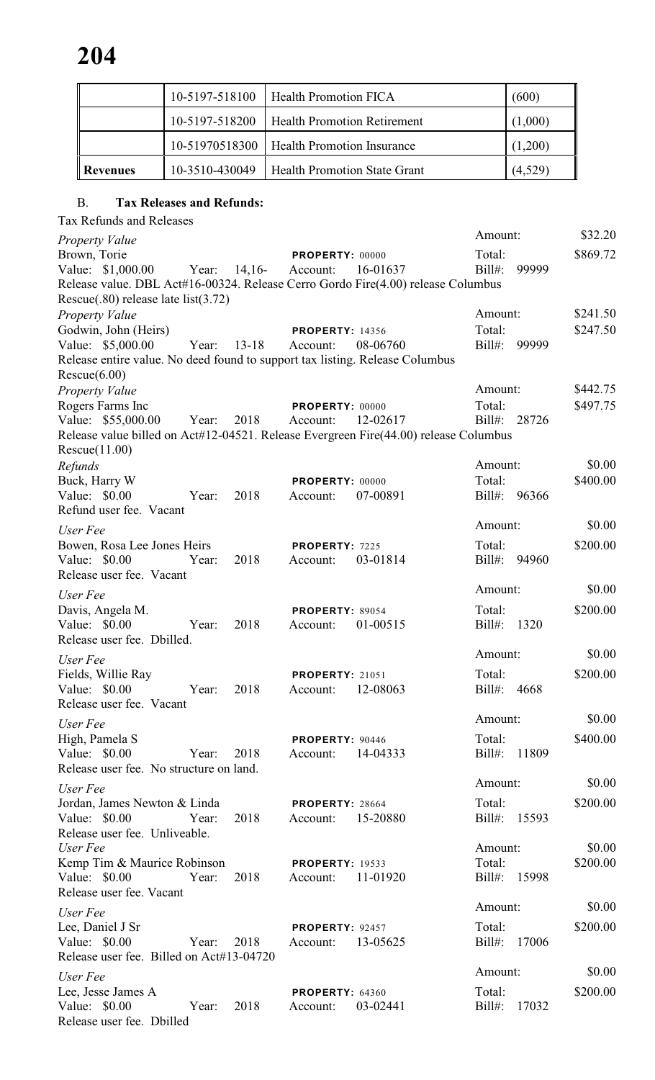|            | 10-5197-518100 | <b>Health Promotion FICA</b>                | (600)   |
|------------|----------------|---------------------------------------------|---------|
|            | 10-5197-518200 | <b>Health Promotion Retirement</b>          | (1,000) |
|            |                | 10-51970518300   Health Promotion Insurance | (1,200) |
| l Revenues | 10-3510-430049 | <b>Health Promotion State Grant</b>         | (4,529) |

### B. **Tax Releases and Refunds:**

Tax Refunds and Releases

| <b>Property Value</b>                                                                                      |       |           |                            |          | Amount:             |       | \$32.20  |
|------------------------------------------------------------------------------------------------------------|-------|-----------|----------------------------|----------|---------------------|-------|----------|
| Brown, Torie                                                                                               |       |           | PROPERTY: 00000            |          | Total:              |       | \$869.72 |
| Value: \$1,000.00                                                                                          | Year: | $14,16-$  | Account:                   | 16-01637 | $Bill#$ :           | 99999 |          |
| Release value. DBL Act#16-00324. Release Cerro Gordo Fire(4.00) release Columbus                           |       |           |                            |          |                     |       |          |
| Rescue $(.80)$ release late list $(3.72)$                                                                  |       |           |                            |          |                     |       |          |
| <b>Property Value</b>                                                                                      |       |           |                            |          | Amount:             |       | \$241.50 |
| Godwin, John (Heirs)                                                                                       |       |           | <b>PROPERTY: 14356</b>     |          | Total:              |       | \$247.50 |
| Value: \$5,000.00                                                                                          | Year: | $13 - 18$ | Account:                   | 08-06760 | $Bill#$ :           | 99999 |          |
| Release entire value. No deed found to support tax listing. Release Columbus                               |       |           |                            |          |                     |       |          |
| Rescue(6.00)                                                                                               |       |           |                            |          |                     |       |          |
| <b>Property Value</b>                                                                                      |       |           |                            |          | Amount:             |       | \$442.75 |
| Rogers Farms Inc                                                                                           |       |           | PROPERTY: 00000            |          | Total:              |       | \$497.75 |
| Value: \$55,000.00<br>Release value billed on Act#12-04521. Release Evergreen Fire(44.00) release Columbus | Year: | 2018      | Account:                   | 12-02617 | $Bill#$ :           | 28726 |          |
| Rescue(11.00)                                                                                              |       |           |                            |          |                     |       |          |
| Refunds                                                                                                    |       |           |                            |          | Amount:             |       | \$0.00   |
| Buck, Harry W                                                                                              |       |           | PROPERTY: 00000            |          | Total:              |       | \$400.00 |
| Value: $$0.00$                                                                                             | Year: | 2018      | Account:                   | 07-00891 | Bill#: 96366        |       |          |
| Refund user fee. Vacant                                                                                    |       |           |                            |          |                     |       |          |
|                                                                                                            |       |           |                            |          | Amount:             |       | \$0.00   |
| User Fee                                                                                                   |       |           |                            |          |                     |       |          |
| Bowen, Rosa Lee Jones Heirs<br>Value: $$0.00$                                                              | Year: | 2018      | PROPERTY: 7225<br>Account: | 03-01814 | Total:<br>$Bill#$ : | 94960 | \$200.00 |
| Release user fee. Vacant                                                                                   |       |           |                            |          |                     |       |          |
|                                                                                                            |       |           |                            |          | Amount:             |       | \$0.00   |
| User Fee                                                                                                   |       |           |                            |          |                     |       |          |
| Davis, Angela M.                                                                                           |       |           | PROPERTY: 89054            |          | Total:              |       | \$200.00 |
| Value: $$0.00$                                                                                             | Year: | 2018      | Account:                   | 01-00515 | $Bill#$ :           | 1320  |          |
| Release user fee. Dbilled.                                                                                 |       |           |                            |          | Amount:             |       | \$0.00   |
| User Fee                                                                                                   |       |           |                            |          |                     |       |          |
| Fields, Willie Ray                                                                                         |       |           | <b>PROPERTY: 21051</b>     |          | Total:              |       | \$200.00 |
| Value: $$0.00$                                                                                             | Year: | 2018      | Account:                   | 12-08063 | $Bill#$ :           | 4668  |          |
| Release user fee. Vacant                                                                                   |       |           |                            |          |                     |       |          |
| User Fee                                                                                                   |       |           |                            |          | Amount:             |       | \$0.00   |
| High, Pamela S                                                                                             |       |           | PROPERTY: 90446            |          | Total:              |       | \$400.00 |
| Value: \$0.00                                                                                              | Year: | 2018      | Account:                   | 14-04333 | Bill#: 11809        |       |          |
| Release user fee. No structure on land.                                                                    |       |           |                            |          |                     |       |          |
| User Fee                                                                                                   |       |           |                            |          | Amount:             |       | \$0.00   |
| Jordan, James Newton & Linda                                                                               |       |           | PROPERTY: 28664            |          | Total:              |       | \$200.00 |
| Value: $$0.00$                                                                                             | Year: | 2018      | Account:                   | 15-20880 | Bill#:              | 15593 |          |
| Release user fee. Unliveable.                                                                              |       |           |                            |          |                     |       |          |
| User Fee                                                                                                   |       |           |                            |          | Amount:             |       | \$0.00   |
| Kemp Tim & Maurice Robinson                                                                                |       |           | <b>PROPERTY: 19533</b>     |          | Total:              |       | \$200.00 |
| Value: $$0.00$                                                                                             | Year: | 2018      | Account:                   | 11-01920 | Bill#: 15998        |       |          |
| Release user fee. Vacant                                                                                   |       |           |                            |          |                     |       |          |
| User Fee                                                                                                   |       |           |                            |          | Amount:             |       | \$0.00   |
| Lee, Daniel J Sr                                                                                           |       |           | PROPERTY: 92457            |          | Total:              |       | \$200.00 |
| Value: $$0.00$                                                                                             | Year: | 2018      | Account:                   | 13-05625 | Bill#: 17006        |       |          |
| Release user fee. Billed on Act#13-04720                                                                   |       |           |                            |          |                     |       |          |
| User Fee                                                                                                   |       |           |                            |          | Amount:             |       | \$0.00   |
| Lee, Jesse James A                                                                                         |       |           | PROPERTY: 64360            |          | Total:              |       | \$200.00 |
| Value: $$0.00$                                                                                             | Year: | 2018      | Account:                   | 03-02441 | Bill#:              | 17032 |          |
| Release user fee. Dbilled                                                                                  |       |           |                            |          |                     |       |          |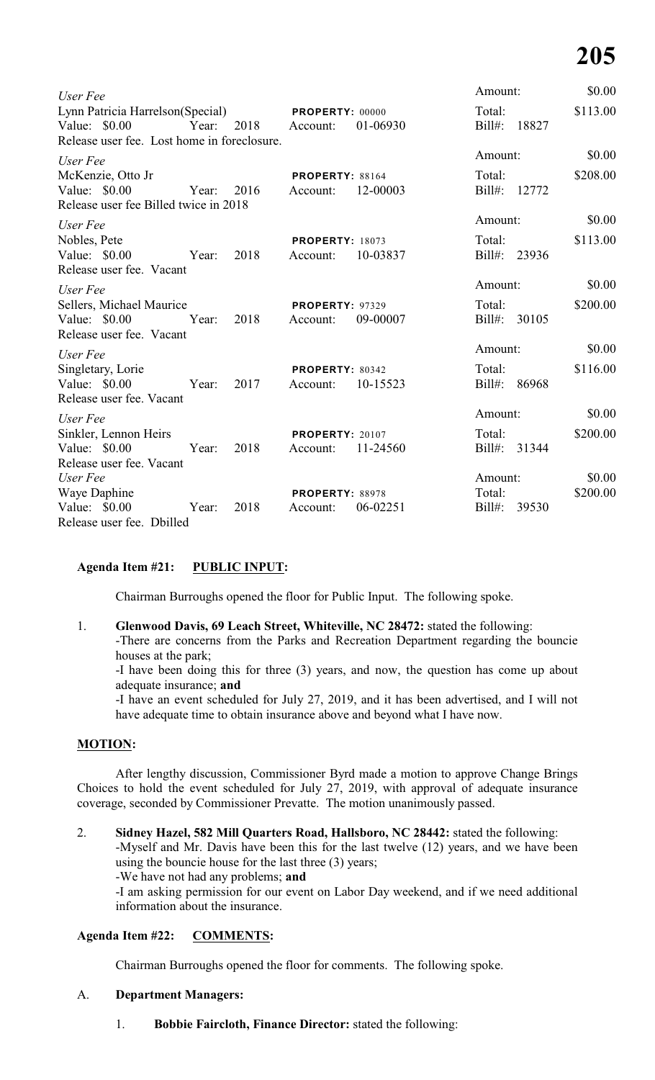| User Fee                                                                                                          |                                                | Amount:                      | \$0.00             |
|-------------------------------------------------------------------------------------------------------------------|------------------------------------------------|------------------------------|--------------------|
| Lynn Patricia Harrelson(Special)<br>Value: \$0.00<br>2018<br>Year:<br>Release user fee. Lost home in foreclosure. | <b>PROPERTY: 00000</b><br>01-06930<br>Account: | Total:<br>18827<br>$Bill#$ : | \$113.00           |
| User Fee                                                                                                          |                                                | Amount:                      | \$0.00             |
| McKenzie, Otto Jr<br>Value: \$0.00<br>2016<br>Year:<br>Release user fee Billed twice in 2018                      | <b>PROPERTY: 88164</b><br>12-00003<br>Account: | Total:<br>$Bill#$ :<br>12772 | \$208.00           |
| User Fee                                                                                                          |                                                | Amount:                      | \$0.00             |
| Nobles, Pete<br>Value: \$0.00<br>2018<br>Year:<br>Release user fee. Vacant                                        | <b>PROPERTY: 18073</b><br>10-03837<br>Account: | Total:<br>Bill#: 23936       | \$113.00           |
| User Fee                                                                                                          |                                                | Amount:                      | \$0.00             |
| Sellers, Michael Maurice<br>Value: \$0.00<br>Year:<br>2018<br>Release user fee. Vacant                            | <b>PROPERTY: 97329</b><br>09-00007<br>Account: | Total:<br>Bill#:<br>30105    | \$200.00           |
| User Fee                                                                                                          |                                                | Amount:                      | \$0.00             |
| Singletary, Lorie<br>2017<br>Value: \$0.00 Year:<br>Release user fee. Vacant                                      | PROPERTY: 80342<br>Account:<br>10-15523        | Total:<br>$Bill#$ :<br>86968 | \$116.00           |
| User Fee                                                                                                          |                                                | Amount:                      | \$0.00             |
| Sinkler, Lennon Heirs<br>Value: $$0.00$<br>Year:<br>2018                                                          | <b>PROPERTY: 20107</b><br>11-24560<br>Account: | Total:<br>$Bill#$ :<br>31344 | \$200.00           |
| Release user fee. Vacant                                                                                          |                                                |                              |                    |
| User Fee<br>Waye Daphine                                                                                          | PROPERTY: 88978                                | Amount:<br>Total:            | \$0.00<br>\$200.00 |
| Value: \$0.00<br>2018<br>Year:<br>Release user fee. Dbilled                                                       | 06-02251<br>Account:                           | $Bill#$ :<br>39530           |                    |

#### **Agenda Item #21: PUBLIC INPUT:**

Chairman Burroughs opened the floor for Public Input. The following spoke.

1. **Glenwood Davis, 69 Leach Street, Whiteville, NC 28472:** stated the following: -There are concerns from the Parks and Recreation Department regarding the bouncie houses at the park;

-I have been doing this for three (3) years, and now, the question has come up about adequate insurance; **and**

-I have an event scheduled for July 27, 2019, and it has been advertised, and I will not have adequate time to obtain insurance above and beyond what I have now.

#### **MOTION:**

After lengthy discussion, Commissioner Byrd made a motion to approve Change Brings Choices to hold the event scheduled for July 27, 2019, with approval of adequate insurance coverage, seconded by Commissioner Prevatte. The motion unanimously passed.

2. **Sidney Hazel, 582 Mill Quarters Road, Hallsboro, NC 28442:** stated the following:

-Myself and Mr. Davis have been this for the last twelve (12) years, and we have been using the bouncie house for the last three (3) years;

-We have not had any problems; **and**

-I am asking permission for our event on Labor Day weekend, and if we need additional information about the insurance.

#### **Agenda Item #22: COMMENTS:**

Chairman Burroughs opened the floor for comments. The following spoke.

#### A. **Department Managers:**

1. **Bobbie Faircloth, Finance Director:** stated the following: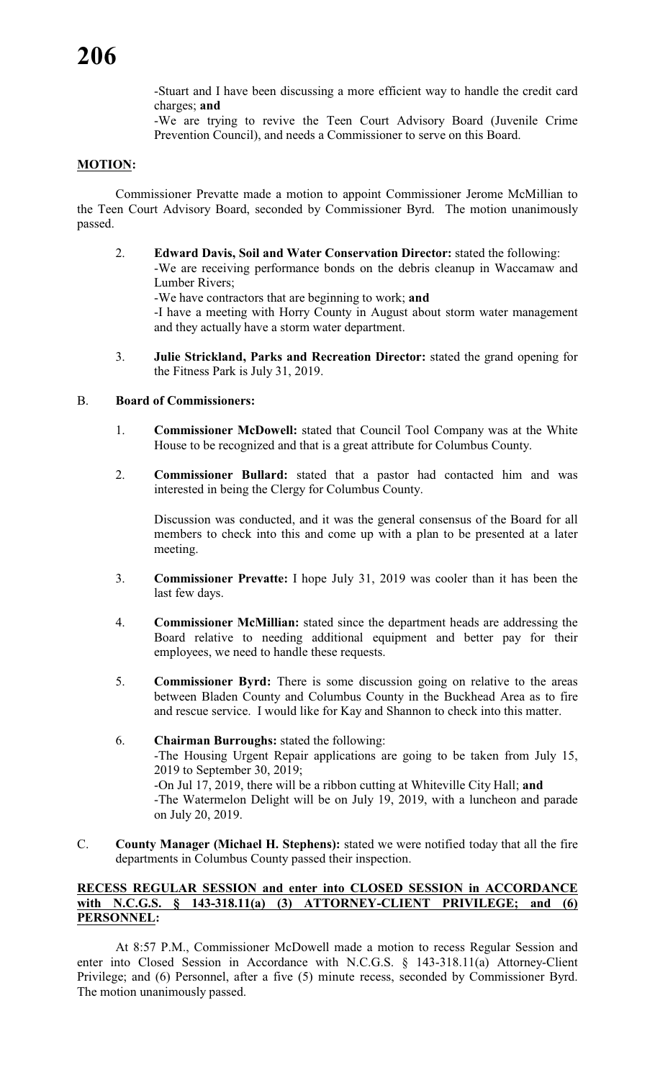-Stuart and I have been discussing a more efficient way to handle the credit card charges; **and**

-We are trying to revive the Teen Court Advisory Board (Juvenile Crime Prevention Council), and needs a Commissioner to serve on this Board.

#### **MOTION:**

Commissioner Prevatte made a motion to appoint Commissioner Jerome McMillian to the Teen Court Advisory Board, seconded by Commissioner Byrd. The motion unanimously passed.

- 2. **Edward Davis, Soil and Water Conservation Director:** stated the following: -We are receiving performance bonds on the debris cleanup in Waccamaw and Lumber Rivers; -We have contractors that are beginning to work; **and** -I have a meeting with Horry County in August about storm water management and they actually have a storm water department.
- 3. **Julie Strickland, Parks and Recreation Director:** stated the grand opening for the Fitness Park is July 31, 2019.

#### B. **Board of Commissioners:**

- 1. **Commissioner McDowell:** stated that Council Tool Company was at the White House to be recognized and that is a great attribute for Columbus County.
- 2. **Commissioner Bullard:** stated that a pastor had contacted him and was interested in being the Clergy for Columbus County.

Discussion was conducted, and it was the general consensus of the Board for all members to check into this and come up with a plan to be presented at a later meeting.

- 3. **Commissioner Prevatte:** I hope July 31, 2019 was cooler than it has been the last few days.
- 4. **Commissioner McMillian:** stated since the department heads are addressing the Board relative to needing additional equipment and better pay for their employees, we need to handle these requests.
- 5. **Commissioner Byrd:** There is some discussion going on relative to the areas between Bladen County and Columbus County in the Buckhead Area as to fire and rescue service. I would like for Kay and Shannon to check into this matter.
- 6. **Chairman Burroughs:** stated the following: -The Housing Urgent Repair applications are going to be taken from July 15, 2019 to September 30, 2019; -On Jul 17, 2019, there will be a ribbon cutting at Whiteville City Hall; **and** -The Watermelon Delight will be on July 19, 2019, with a luncheon and parade on July 20, 2019.
- C. **County Manager (Michael H. Stephens):** stated we were notified today that all the fire departments in Columbus County passed their inspection.

#### **RECESS REGULAR SESSION and enter into CLOSED SESSION in ACCORDANCE with N.C.G.S. § 143-318.11(a) (3) ATTORNEY-CLIENT PRIVILEGE; and (6) PERSONNEL:**

At 8:57 P.M., Commissioner McDowell made a motion to recess Regular Session and enter into Closed Session in Accordance with N.C.G.S. § 143-318.11(a) Attorney-Client Privilege; and (6) Personnel, after a five (5) minute recess, seconded by Commissioner Byrd. The motion unanimously passed.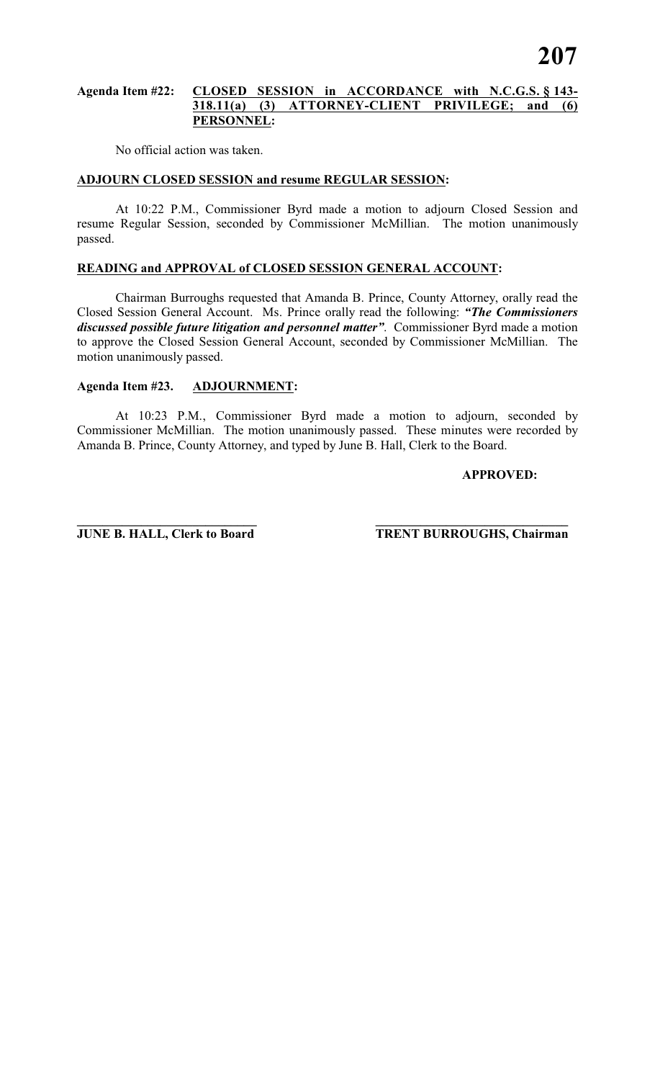#### **Agenda Item #22: CLOSED SESSION in ACCORDANCE with N.C.G.S. § 143- 318.11(a) (3) ATTORNEY-CLIENT PRIVILEGE; and (6) PERSONNEL:**

No official action was taken.

#### **ADJOURN CLOSED SESSION and resume REGULAR SESSION:**

At 10:22 P.M., Commissioner Byrd made a motion to adjourn Closed Session and resume Regular Session, seconded by Commissioner McMillian. The motion unanimously passed.

#### **READING and APPROVAL of CLOSED SESSION GENERAL ACCOUNT:**

Chairman Burroughs requested that Amanda B. Prince, County Attorney, orally read the Closed Session General Account. Ms. Prince orally read the following: *"The Commissioners discussed possible future litigation and personnel matter"*. Commissioner Byrd made a motion to approve the Closed Session General Account, seconded by Commissioner McMillian. The motion unanimously passed.

#### **Agenda Item #23. ADJOURNMENT:**

At 10:23 P.M., Commissioner Byrd made a motion to adjourn, seconded by Commissioner McMillian. The motion unanimously passed. These minutes were recorded by Amanda B. Prince, County Attorney, and typed by June B. Hall, Clerk to the Board.

#### **APPROVED:**

**\_\_\_\_\_\_\_\_\_\_\_\_\_\_\_\_\_\_\_\_\_\_\_\_\_\_\_\_ \_\_\_\_\_\_\_\_\_\_\_\_\_\_\_\_\_\_\_\_\_\_\_\_\_\_\_\_\_\_**

**JUNE B. HALL, Clerk to Board TRENT BURROUGHS, Chairman**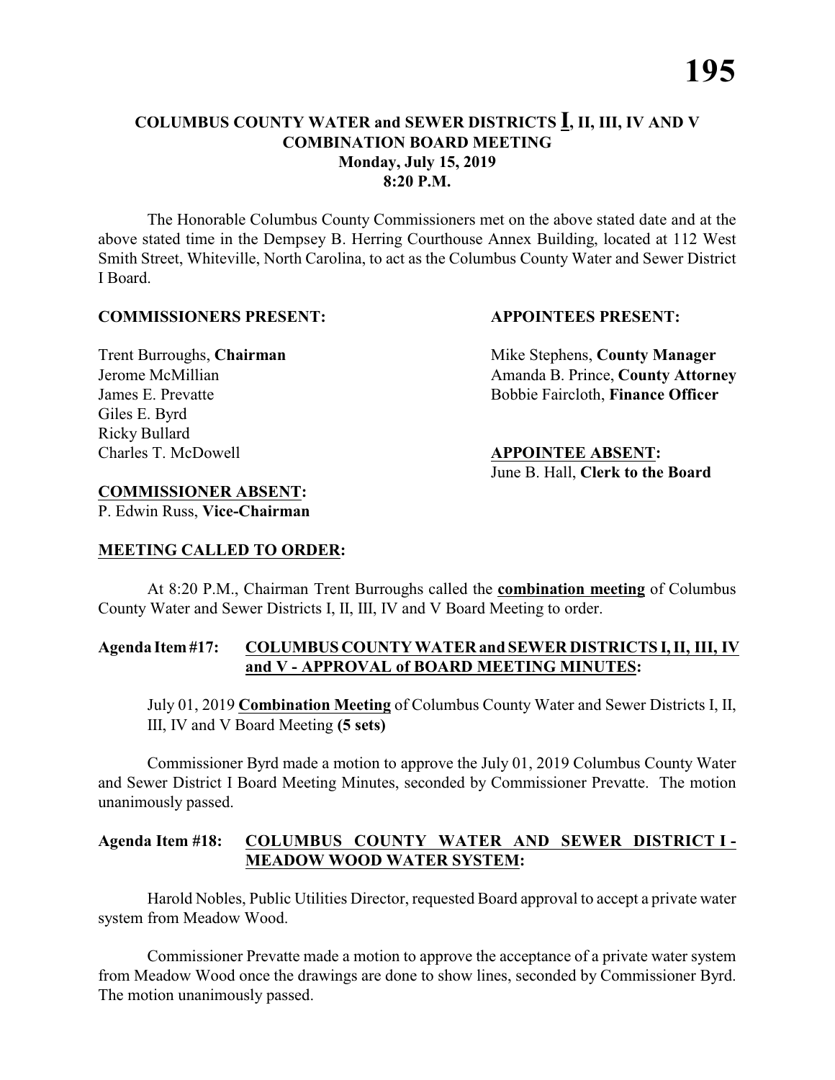The Honorable Columbus County Commissioners met on the above stated date and at the above stated time in the Dempsey B. Herring Courthouse Annex Building, located at 112 West Smith Street, Whiteville, North Carolina, to act as the Columbus County Water and Sewer District I Board.

#### **COMMISSIONERS PRESENT: APPOINTEES PRESENT:**

Giles E. Byrd Ricky Bullard Charles T. McDowell **APPOINTEE ABSENT:**

Trent Burroughs, **Chairman** Mike Stephens, **County Manager** Jerome McMillian Amanda B. Prince, **County Attorney** James E. Prevatte Bobbie Faircloth, **Finance Officer** 

### June B. Hall, **Clerk to the Board**

#### **COMMISSIONER ABSENT:**

P. Edwin Russ, **Vice-Chairman**

#### **MEETING CALLED TO ORDER:**

At 8:20 P.M., Chairman Trent Burroughs called the **combination meeting** of Columbus County Water and Sewer Districts I, II, III, IV and V Board Meeting to order.

#### **Agenda Item #17: COLUMBUS COUNTY WATER and SEWER DISTRICTS I, II, III, IV and V - APPROVAL of BOARD MEETING MINUTES:**

July 01, 2019 **Combination Meeting** of Columbus County Water and Sewer Districts I, II, III, IV and V Board Meeting **(5 sets)**

Commissioner Byrd made a motion to approve the July 01, 2019 Columbus County Water and Sewer District I Board Meeting Minutes, seconded by Commissioner Prevatte. The motion unanimously passed.

#### **Agenda Item #18: COLUMBUS COUNTY WATER AND SEWER DISTRICT I - MEADOW WOOD WATER SYSTEM:**

Harold Nobles, Public Utilities Director, requested Board approval to accept a private water system from Meadow Wood.

Commissioner Prevatte made a motion to approve the acceptance of a private water system from Meadow Wood once the drawings are done to show lines, seconded by Commissioner Byrd. The motion unanimously passed.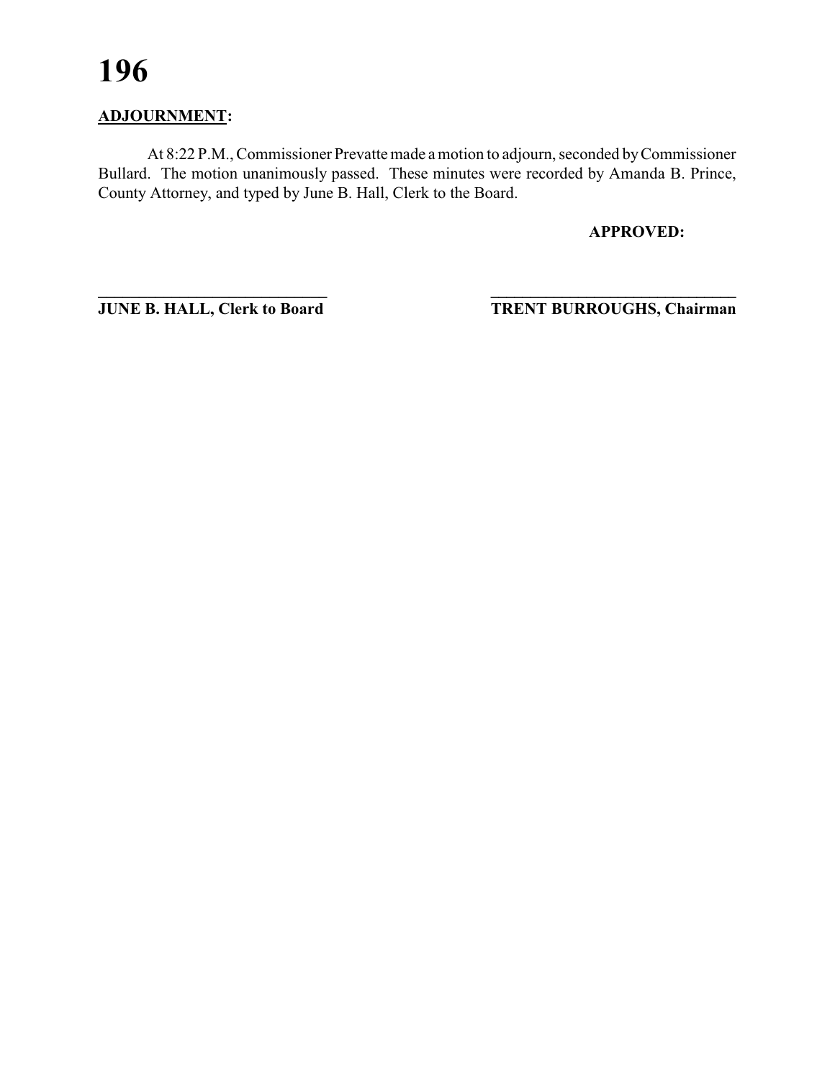### **ADJOURNMENT:**

At 8:22 P.M., Commissioner Prevatte made a motion to adjourn, seconded by Commissioner Bullard. The motion unanimously passed. These minutes were recorded by Amanda B. Prince, County Attorney, and typed by June B. Hall, Clerk to the Board.

**APPROVED:**

**\_\_\_\_\_\_\_\_\_\_\_\_\_\_\_\_\_\_\_\_\_\_\_\_\_\_\_\_ \_\_\_\_\_\_\_\_\_\_\_\_\_\_\_\_\_\_\_\_\_\_\_\_\_\_\_\_\_\_\_ JUNE B. HALL, Clerk to Board TRENT BURROUGHS, Chairman**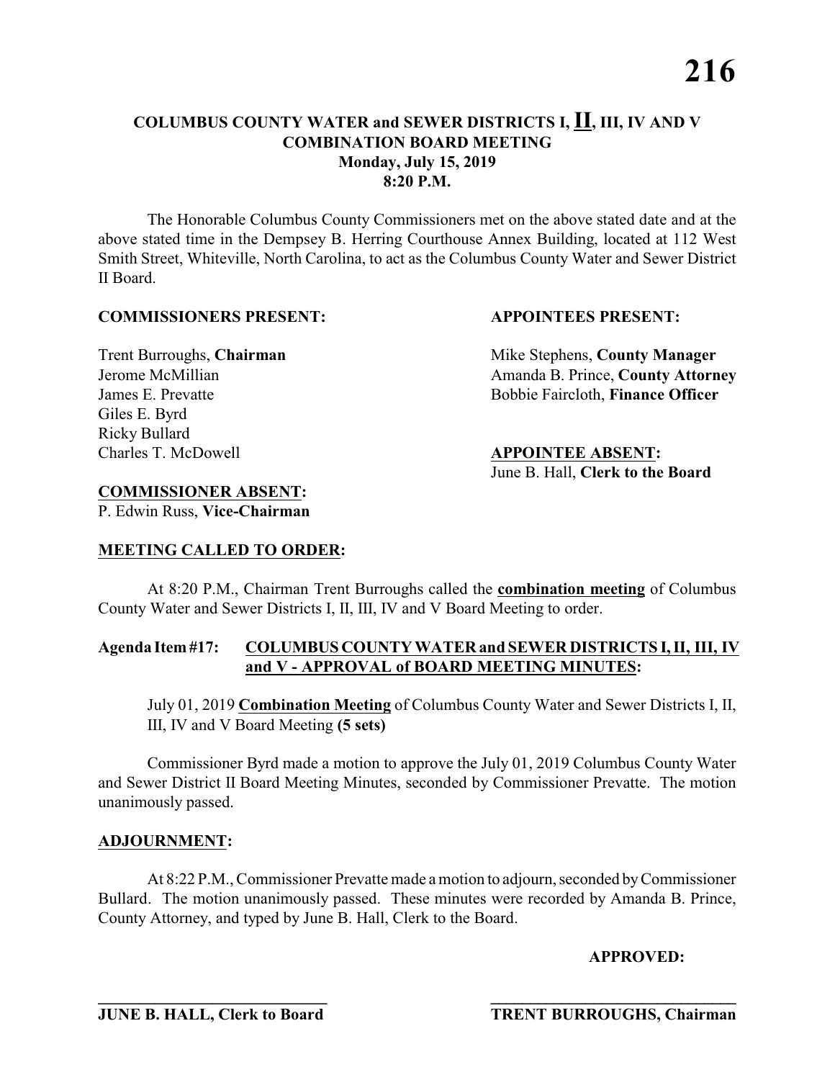The Honorable Columbus County Commissioners met on the above stated date and at the above stated time in the Dempsey B. Herring Courthouse Annex Building, located at 112 West Smith Street, Whiteville, North Carolina, to act as the Columbus County Water and Sewer District II Board.

#### **COMMISSIONERS PRESENT: APPOINTEES PRESENT:**

Giles E. Byrd Ricky Bullard Charles T. McDowell **APPOINTEE ABSENT:**

Trent Burroughs, **Chairman** Mike Stephens, **County Manager** Jerome McMillian **Amanda B. Prince, County Attorney** James E. Prevatte Bobbie Faircloth, **Finance Officer** 

## June B. Hall, **Clerk to the Board**

#### **COMMISSIONER ABSENT:**

P. Edwin Russ, **Vice-Chairman**

### **MEETING CALLED TO ORDER:**

At 8:20 P.M., Chairman Trent Burroughs called the **combination meeting** of Columbus County Water and Sewer Districts I, II, III, IV and V Board Meeting to order.

#### **Agenda Item #17: COLUMBUS COUNTY WATER and SEWER DISTRICTS I, II, III, IV and V - APPROVAL of BOARD MEETING MINUTES:**

July 01, 2019 **Combination Meeting** of Columbus County Water and Sewer Districts I, II, III, IV and V Board Meeting **(5 sets)**

Commissioner Byrd made a motion to approve the July 01, 2019 Columbus County Water and Sewer District II Board Meeting Minutes, seconded by Commissioner Prevatte. The motion unanimously passed.

#### **ADJOURNMENT:**

At 8:22 P.M., Commissioner Prevatte made a motion to adjourn, seconded by Commissioner Bullard. The motion unanimously passed. These minutes were recorded by Amanda B. Prince, County Attorney, and typed by June B. Hall, Clerk to the Board.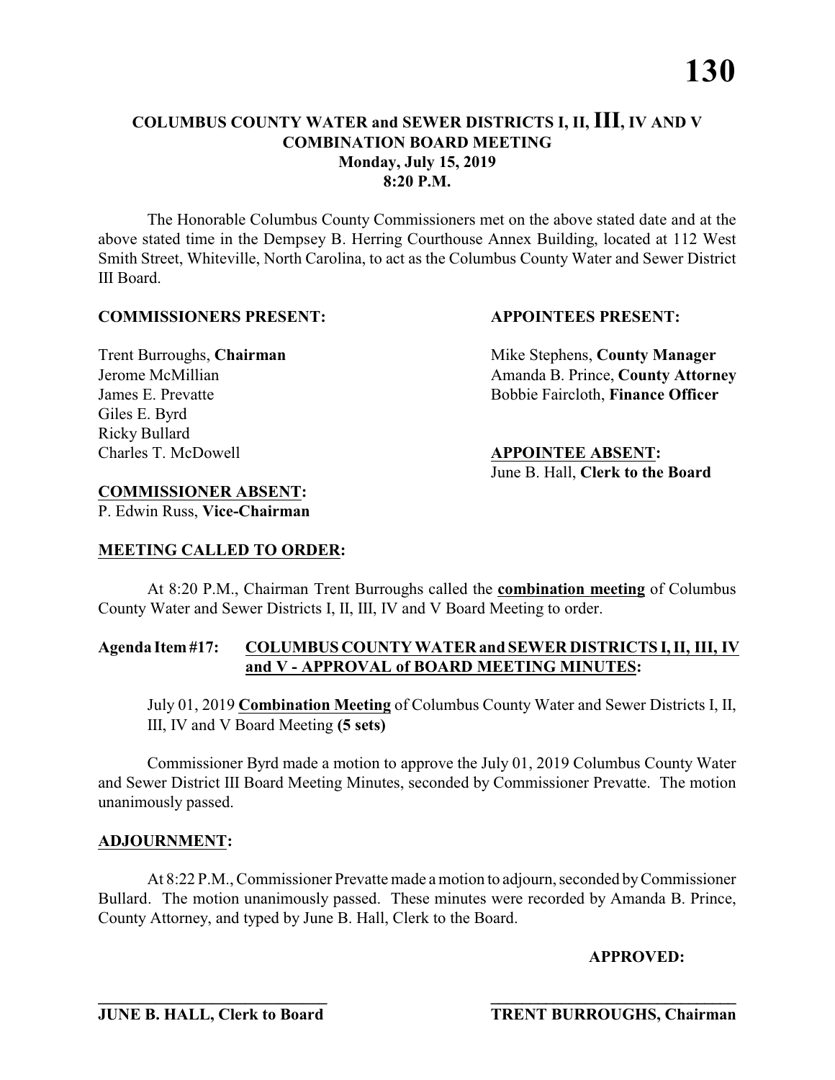The Honorable Columbus County Commissioners met on the above stated date and at the above stated time in the Dempsey B. Herring Courthouse Annex Building, located at 112 West Smith Street, Whiteville, North Carolina, to act as the Columbus County Water and Sewer District III Board.

#### **COMMISSIONERS PRESENT: APPOINTEES PRESENT:**

Giles E. Byrd Ricky Bullard Charles T. McDowell **APPOINTEE ABSENT:**

Trent Burroughs, **Chairman** Mike Stephens, **County Manager** Jerome McMillian **Amanda B. Prince, County Attorney** James E. Prevatte Bobbie Faircloth, **Finance Officer** 

## June B. Hall, **Clerk to the Board**

#### **COMMISSIONER ABSENT:**

P. Edwin Russ, **Vice-Chairman**

#### **MEETING CALLED TO ORDER:**

At 8:20 P.M., Chairman Trent Burroughs called the **combination meeting** of Columbus County Water and Sewer Districts I, II, III, IV and V Board Meeting to order.

#### **Agenda Item #17: COLUMBUS COUNTY WATER and SEWER DISTRICTS I, II, III, IV and V - APPROVAL of BOARD MEETING MINUTES:**

July 01, 2019 **Combination Meeting** of Columbus County Water and Sewer Districts I, II, III, IV and V Board Meeting **(5 sets)**

Commissioner Byrd made a motion to approve the July 01, 2019 Columbus County Water and Sewer District III Board Meeting Minutes, seconded by Commissioner Prevatte. The motion unanimously passed.

#### **ADJOURNMENT:**

At 8:22 P.M., Commissioner Prevatte made a motion to adjourn, seconded by Commissioner Bullard. The motion unanimously passed. These minutes were recorded by Amanda B. Prince, County Attorney, and typed by June B. Hall, Clerk to the Board.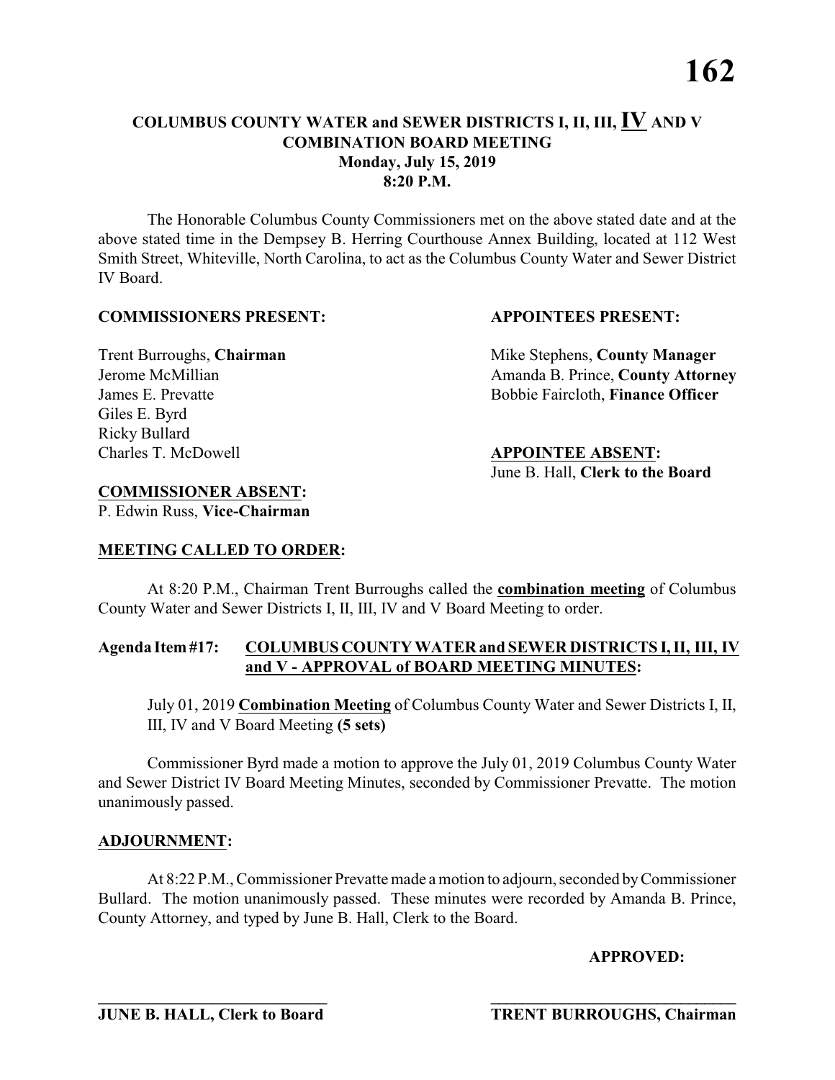The Honorable Columbus County Commissioners met on the above stated date and at the above stated time in the Dempsey B. Herring Courthouse Annex Building, located at 112 West Smith Street, Whiteville, North Carolina, to act as the Columbus County Water and Sewer District IV Board.

#### **COMMISSIONERS PRESENT: APPOINTEES PRESENT:**

Giles E. Byrd Ricky Bullard Charles T. McDowell **APPOINTEE ABSENT:**

Trent Burroughs, **Chairman** Mike Stephens, **County Manager** Jerome McMillian **Amanda B. Prince, County Attorney** James E. Prevatte Bobbie Faircloth, **Finance Officer** 

## June B. Hall, **Clerk to the Board**

#### **COMMISSIONER ABSENT:**

P. Edwin Russ, **Vice-Chairman**

#### **MEETING CALLED TO ORDER:**

At 8:20 P.M., Chairman Trent Burroughs called the **combination meeting** of Columbus County Water and Sewer Districts I, II, III, IV and V Board Meeting to order.

#### **Agenda Item #17: COLUMBUS COUNTY WATER and SEWER DISTRICTS I, II, III, IV and V - APPROVAL of BOARD MEETING MINUTES:**

July 01, 2019 **Combination Meeting** of Columbus County Water and Sewer Districts I, II, III, IV and V Board Meeting **(5 sets)**

Commissioner Byrd made a motion to approve the July 01, 2019 Columbus County Water and Sewer District IV Board Meeting Minutes, seconded by Commissioner Prevatte. The motion unanimously passed.

#### **ADJOURNMENT:**

At 8:22 P.M., Commissioner Prevatte made a motion to adjourn, seconded by Commissioner Bullard. The motion unanimously passed. These minutes were recorded by Amanda B. Prince, County Attorney, and typed by June B. Hall, Clerk to the Board.